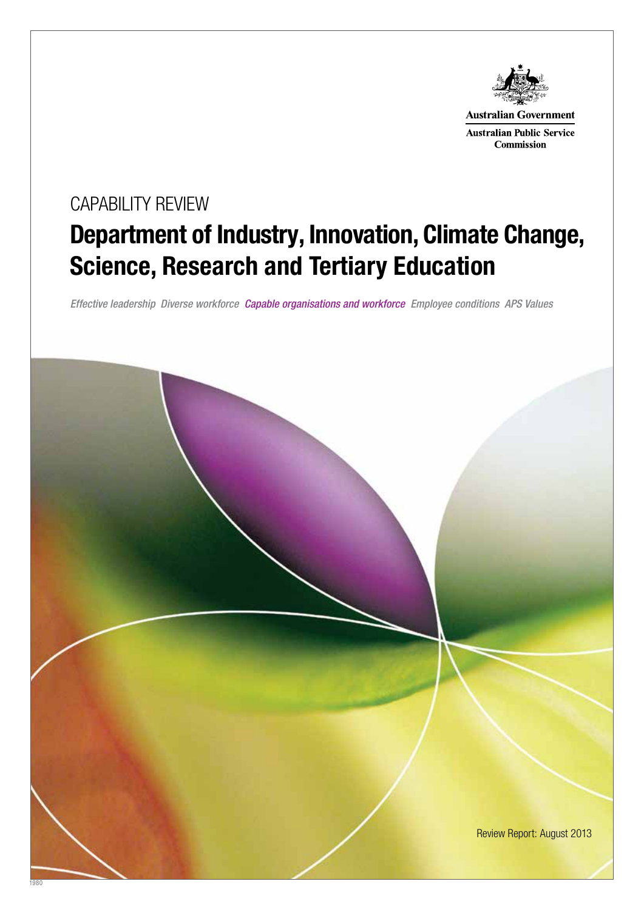

**Australian Government** 

**Australian Public Service Commission** 

# Department of Industry, Innovation, Climate Change, Science, Research and Tertiary Education CAPABILITY REVIEW

*Effective leadership Diverse workforce Capable organisations and workforce Employee conditions APS Values*

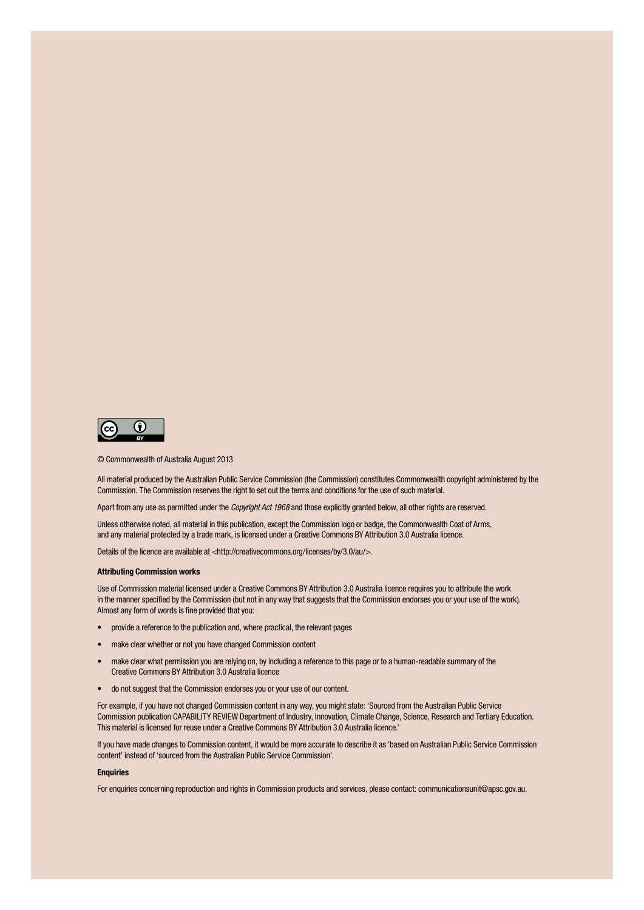

© Commonwealth of Australia August 2013

All material produced by the Australian Public Service Commission (the Commission) constitutes Commonwealth copyright administered by the Commission. The Commission reserves the right to set out the terms and conditions for the use of such material.

Apart from any use as permitted under the Copyright Act 1968 and those explicitly granted below, all other rights are reserved.

Unless otherwise noted, all material in this publication, except the Commission logo or badge, the Commonwealth Coat of Arms, and any material protected by a trade mark, is licensed under a Creative Commons BY Attribution 3.0 Australia licence.

Details of the licence are available at <http://creativecommons.org/licenses/by/3.0/au/>.

#### Attributing Commission works

Use of Commission material licensed under a Creative Commons BY Attribution 3.0 Australia licence requires you to attribute the work in the manner specified by the Commission (but not in any way that suggests that the Commission endorses you or your use of the work). Almost any form of words is fine provided that you:

- provide a reference to the publication and, where practical, the relevant pages
- make clear whether or not you have changed Commission content
- make clear what permission you are relying on, by including a reference to this page or to a human-readable summary of the Creative Commons BY Attribution 3.0 Australia licence
- do not suggest that the Commission endorses you or your use of our content.

For example, if you have not changed Commission content in any way, you might state: 'Sourced from the Australian Public Service Commission publication CAPABILITY REVIEW Department of Industry, Innovation, Climate Change, Science, Research and Tertiary Education. This material is licensed for reuse under a Creative Commons BY Attribution 3.0 Australia licence.'

If you have made changes to Commission content, it would be more accurate to describe it as 'based on Australian Public Service Commission content' instead of 'sourced from the Australian Public Service Commission'.

#### **Enquiries**

For enquiries concerning reproduction and rights in Commission products and services, please contact: communicationsunit@apsc.gov.au.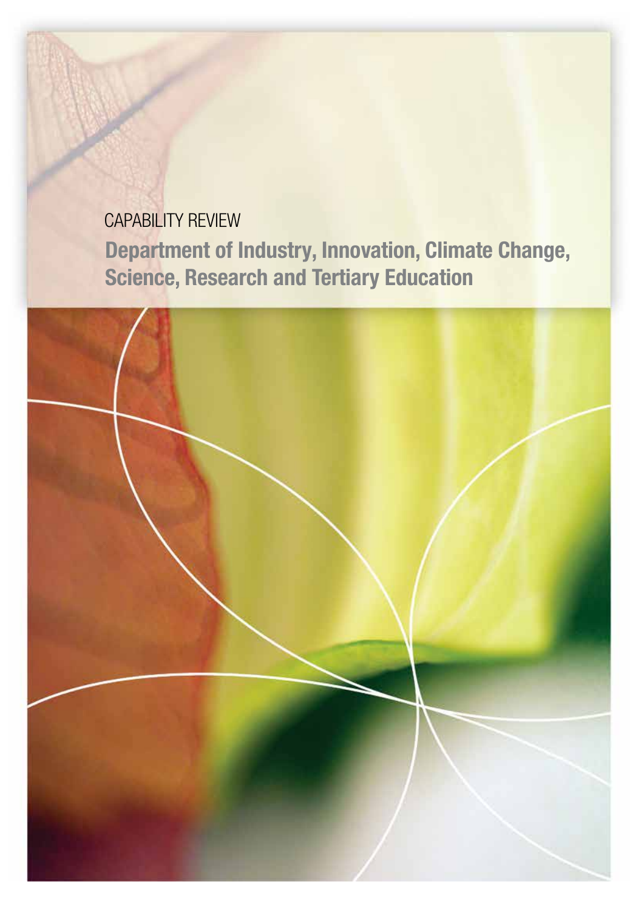# CAPABILITY REVIEW Department of Industry, Innovation, Climate Change, Science, Research and Tertiary Education

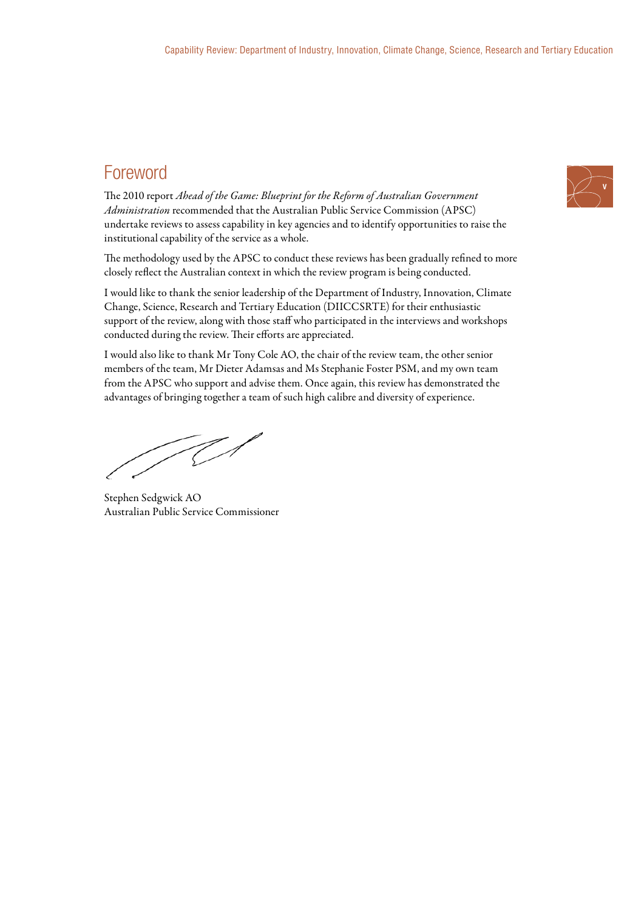# Foreword

The 2010 report *Ahead of the Game: Blueprint for the Reform of Australian Government Administration* recommended that the Australian Public Service Commission (APSC) undertake reviews to assess capability in key agencies and to identify opportunities to raise the institutional capability of the service as a whole.

The methodology used by the APSC to conduct these reviews has been gradually refined to more closely reflect the Australian context in which the review program is being conducted.

I would like to thank the senior leadership of the Department of Industry, Innovation, Climate Change, Science, Research and Tertiary Education (DIICCSRTE) for their enthusiastic support of the review, along with those staff who participated in the interviews and workshops conducted during the review. Their efforts are appreciated.

I would also like to thank Mr Tony Cole AO, the chair of the review team, the other senior members of the team, Mr Dieter Adamsas and Ms Stephanie Foster PSM, and my own team from the APSC who support and advise them. Once again, this review has demonstrated the advantages of bringing together a team of such high calibre and diversity of experience.

TO

Stephen Sedgwick AO Australian Public Service Commissioner

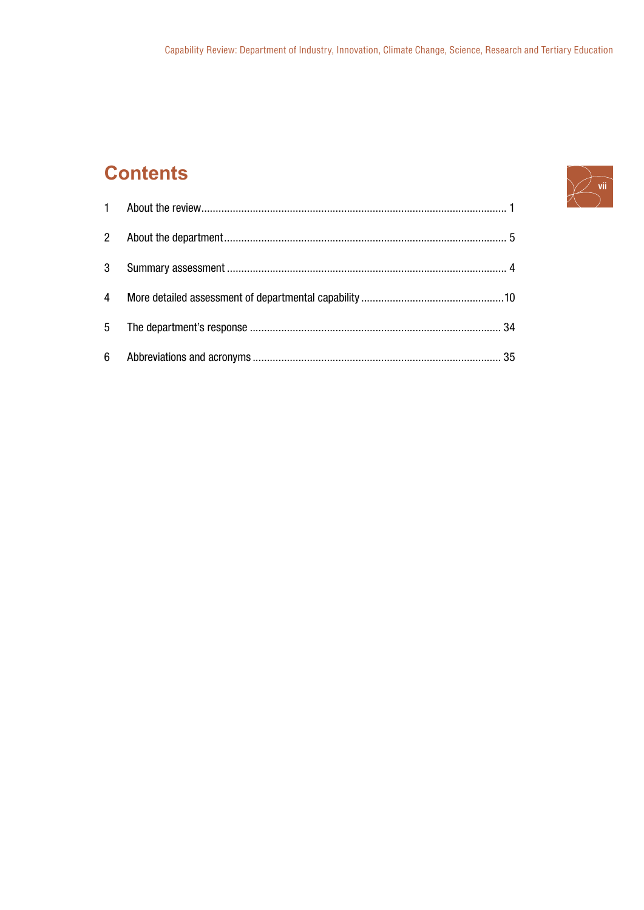# **Contents**

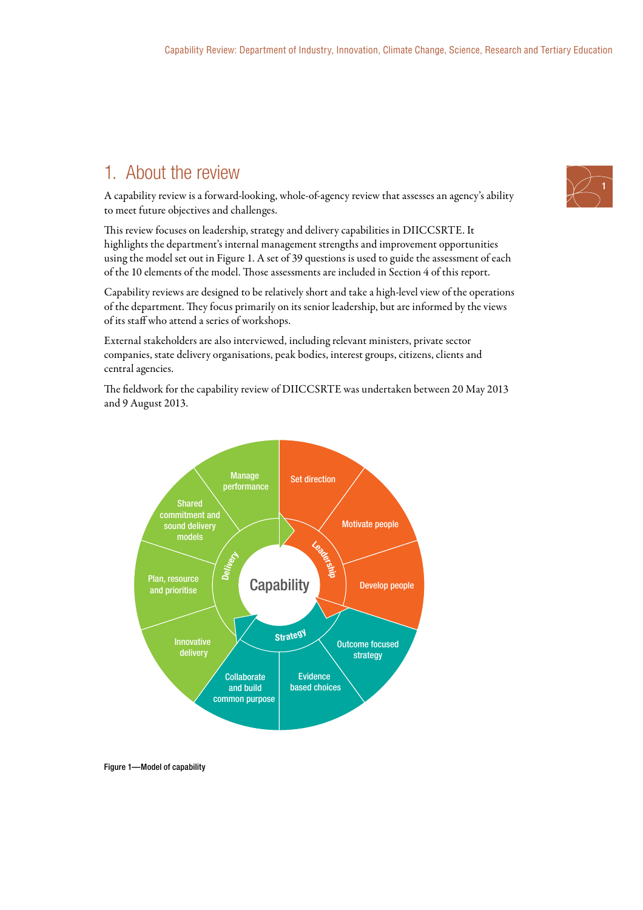# 1. About the review

A capability review is a forward-looking, whole-of-agency review that assesses an agency's ability to meet future objectives and challenges.

This review focuses on leadership, strategy and delivery capabilities in DIICCSRTE. It highlights the department's internal management strengths and improvement opportunities using the model set out in Figure 1. A set of 39 questions is used to guide the assessment of each of the 10 elements of the model. Those assessments are included in Section 4 of this report.

Capability reviews are designed to be relatively short and take a high-level view of the operations of the department. They focus primarily on its senior leadership, but are informed by the views of its staff who attend a series of workshops.

External stakeholders are also interviewed, including relevant ministers, private sector companies, state delivery organisations, peak bodies, interest groups, citizens, clients and central agencies.

The fieldwork for the capability review of DIICCSRTE was undertaken between 20 May 2013 and 9 August 2013.



Figure 1—Model of capability

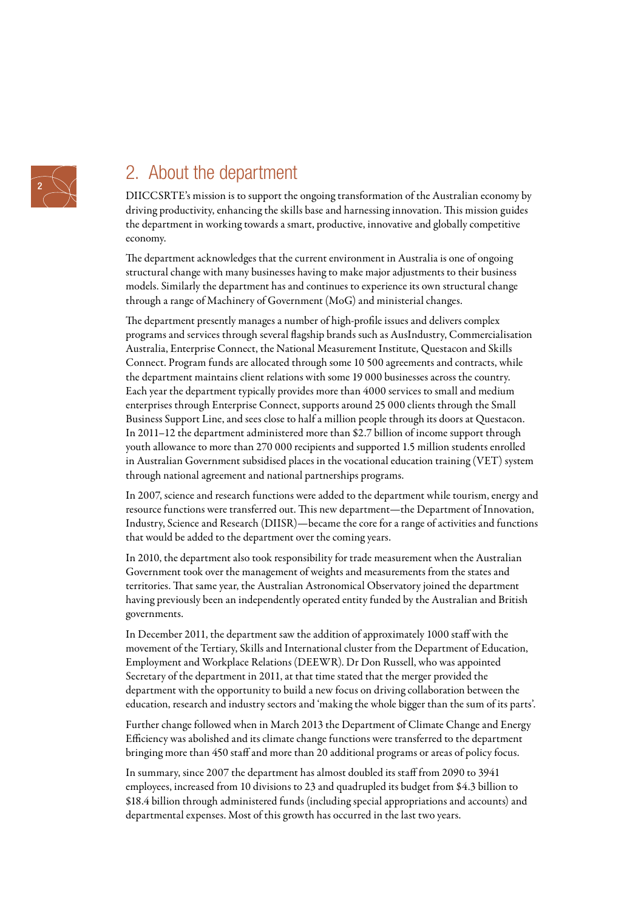

# 2. About the department

DIICCSRTE's mission is to support the ongoing transformation of the Australian economy by driving productivity, enhancing the skills base and harnessing innovation. This mission guides the department in working towards a smart, productive, innovative and globally competitive economy.

The department acknowledges that the current environment in Australia is one of ongoing structural change with many businesses having to make major adjustments to their business models. Similarly the department has and continues to experience its own structural change through a range of Machinery of Government (MoG) and ministerial changes.

The department presently manages a number of high-profile issues and delivers complex programs and services through several flagship brands such as AusIndustry, Commercialisation Australia, Enterprise Connect, the National Measurement Institute, Questacon and Skills Connect. Program funds are allocated through some 10 500 agreements and contracts, while the department maintains client relations with some 19 000 businesses across the country. Each year the department typically provides more than 4000 services to small and medium enterprises through Enterprise Connect, supports around 25 000 clients through the Small Business Support Line, and sees close to half a million people through its doors at Questacon. In 2011–12 the department administered more than \$2.7 billion of income support through youth allowance to more than 270 000 recipients and supported 1.5 million students enrolled in Australian Government subsidised places in the vocational education training (VET) system through national agreement and national partnerships programs.

In 2007, science and research functions were added to the department while tourism, energy and resource functions were transferred out. This new department—the Department of Innovation, Industry, Science and Research (DIISR)—became the core for a range of activities and functions that would be added to the department over the coming years.

In 2010, the department also took responsibility for trade measurement when the Australian Government took over the management of weights and measurements from the states and territories. That same year, the Australian Astronomical Observatory joined the department having previously been an independently operated entity funded by the Australian and British governments.

In December 2011, the department saw the addition of approximately 1000 staff with the movement of the Tertiary, Skills and International cluster from the Department of Education, Employment and Workplace Relations (DEEWR). Dr Don Russell, who was appointed Secretary of the department in 2011, at that time stated that the merger provided the department with the opportunity to build a new focus on driving collaboration between the education, research and industry sectors and 'making the whole bigger than the sum of its parts'.

Further change followed when in March 2013 the Department of Climate Change and Energy Efficiency was abolished and its climate change functions were transferred to the department bringing more than 450 staff and more than 20 additional programs or areas of policy focus.

In summary, since 2007 the department has almost doubled its staff from 2090 to 3941 employees, increased from 10 divisions to 23 and quadrupled its budget from \$4.3 billion to \$18.4 billion through administered funds (including special appropriations and accounts) and departmental expenses. Most of this growth has occurred in the last two years.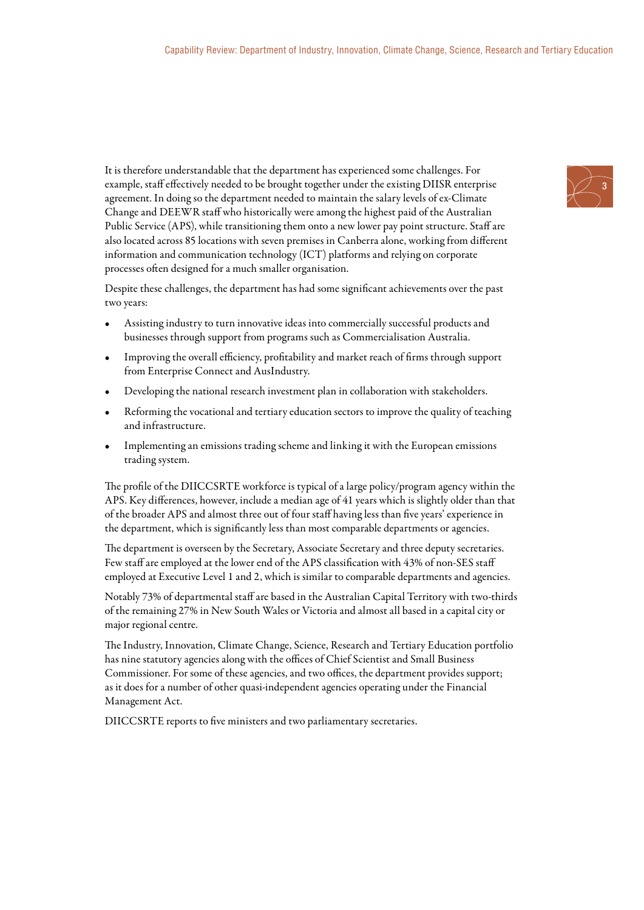It is therefore understandable that the department has experienced some challenges. For example, staff effectively needed to be brought together under the existing DIISR enterprise agreement. In doing so the department needed to maintain the salary levels of ex-Climate Change and DEEWR staff who historically were among the highest paid of the Australian Public Service (APS), while transitioning them onto a new lower pay point structure. Staff are also located across 85 locations with seven premises in Canberra alone, working from different information and communication technology (ICT) platforms and relying on corporate processes often designed for a much smaller organisation.

Despite these challenges, the department has had some significant achievements over the past two years:

- Assisting industry to turn innovative ideas into commercially successful products and businesses through support from programs such as Commercialisation Australia.
- Improving the overall efficiency, profitability and market reach of firms through support from Enterprise Connect and AusIndustry.
- Developing the national research investment plan in collaboration with stakeholders.
- Reforming the vocational and tertiary education sectors to improve the quality of teaching and infrastructure.
- Implementing an emissions trading scheme and linking it with the European emissions trading system.

The profile of the DIICCSRTE workforce is typical of a large policy/program agency within the APS. Key differences, however, include a median age of 41 years which is slightly older than that of the broader APS and almost three out of four staff having less than five years' experience in the department, which is significantly less than most comparable departments or agencies.

The department is overseen by the Secretary, Associate Secretary and three deputy secretaries. Few staff are employed at the lower end of the APS classification with 43% of non-SES staff employed at Executive Level 1 and 2, which is similar to comparable departments and agencies.

Notably 73% of departmental staff are based in the Australian Capital Territory with two-thirds of the remaining 27% in New South Wales or Victoria and almost all based in a capital city or major regional centre.

The Industry, Innovation, Climate Change, Science, Research and Tertiary Education portfolio has nine statutory agencies along with the offices of Chief Scientist and Small Business Commissioner. For some of these agencies, and two offices, the department provides support; as it does for a number of other quasi-independent agencies operating under the Financial Management Act.

DIICCSRTE reports to five ministers and two parliamentary secretaries.

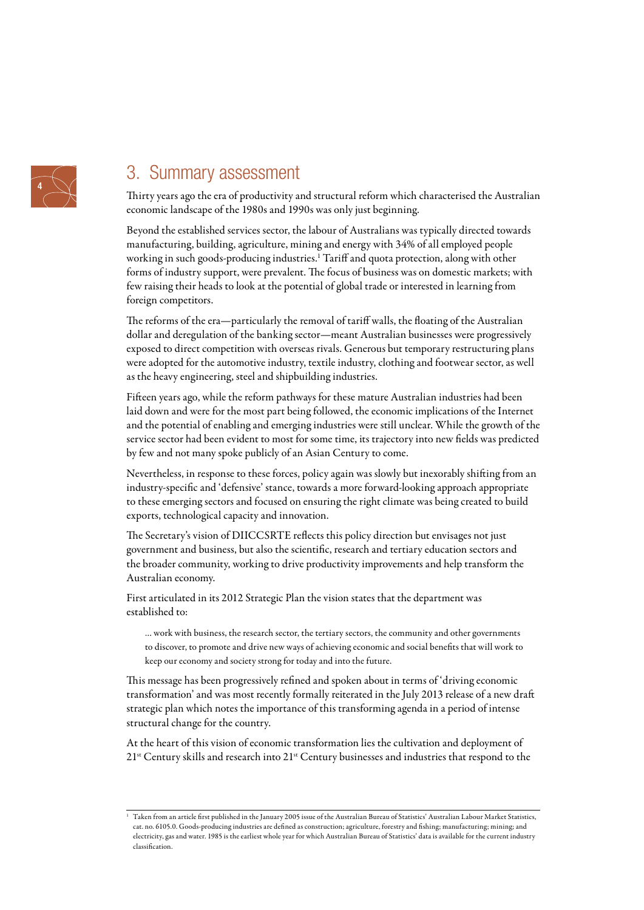

# 3. Summary assessment

Thirty years ago the era of productivity and structural reform which characterised the Australian economic landscape of the 1980s and 1990s was only just beginning.

Beyond the established services sector, the labour of Australians was typically directed towards manufacturing, building, agriculture, mining and energy with 34% of all employed people working in such goods-producing industries.1 Tariff and quota protection, along with other forms of industry support, were prevalent. The focus of business was on domestic markets; with few raising their heads to look at the potential of global trade or interested in learning from foreign competitors.

The reforms of the era—particularly the removal of tariff walls, the floating of the Australian dollar and deregulation of the banking sector—meant Australian businesses were progressively exposed to direct competition with overseas rivals. Generous but temporary restructuring plans were adopted for the automotive industry, textile industry, clothing and footwear sector, as well as the heavy engineering, steel and shipbuilding industries.

Fifteen years ago, while the reform pathways for these mature Australian industries had been laid down and were for the most part being followed, the economic implications of the Internet and the potential of enabling and emerging industries were still unclear. While the growth of the service sector had been evident to most for some time, its trajectory into new fields was predicted by few and not many spoke publicly of an Asian Century to come.

Nevertheless, in response to these forces, policy again was slowly but inexorably shifting from an industry-specific and 'defensive' stance, towards a more forward-looking approach appropriate to these emerging sectors and focused on ensuring the right climate was being created to build exports, technological capacity and innovation.

The Secretary's vision of DIICCSRTE reflects this policy direction but envisages not just government and business, but also the scientific, research and tertiary education sectors and the broader community, working to drive productivity improvements and help transform the Australian economy.

First articulated in its 2012 Strategic Plan the vision states that the department was established to:

… work with business, the research sector, the tertiary sectors, the community and other governments to discover, to promote and drive new ways of achieving economic and social benefits that will work to keep our economy and society strong for today and into the future.

This message has been progressively refined and spoken about in terms of 'driving economic transformation' and was most recently formally reiterated in the July 2013 release of a new draft strategic plan which notes the importance of this transforming agenda in a period of intense structural change for the country.

At the heart of this vision of economic transformation lies the cultivation and deployment of 21<sup>st</sup> Century skills and research into 21<sup>st</sup> Century businesses and industries that respond to the

<sup>1</sup> Taken from an article first published in the January 2005 issue of the Australian Bureau of Statistics' Australian Labour Market Statistics, cat. no. 6105.0. Goods-producing industries are defined as construction; agriculture, forestry and fishing; manufacturing; mining; and electricity, gas and water. 1985 is the earliest whole year for which Australian Bureau of Statistics' data is available for the current industry classification.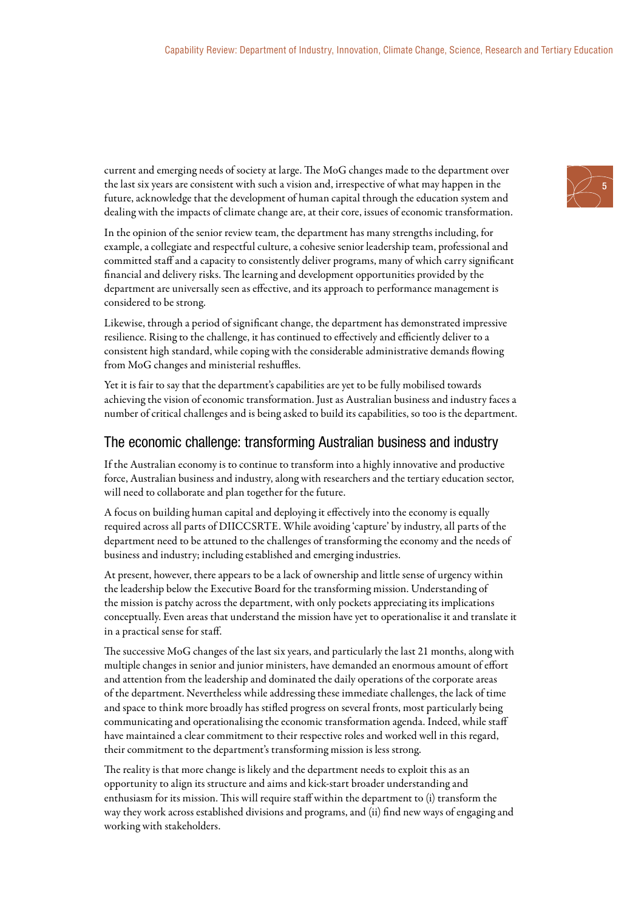current and emerging needs of society at large. The MoG changes made to the department over the last six years are consistent with such a vision and, irrespective of what may happen in the future, acknowledge that the development of human capital through the education system and dealing with the impacts of climate change are, at their core, issues of economic transformation.

In the opinion of the senior review team, the department has many strengths including, for example, a collegiate and respectful culture, a cohesive senior leadership team, professional and committed staff and a capacity to consistently deliver programs, many of which carry significant financial and delivery risks. The learning and development opportunities provided by the department are universally seen as effective, and its approach to performance management is considered to be strong.

Likewise, through a period of significant change, the department has demonstrated impressive resilience. Rising to the challenge, it has continued to effectively and efficiently deliver to a consistent high standard, while coping with the considerable administrative demands flowing from MoG changes and ministerial reshuffles.

Yet it is fair to say that the department's capabilities are yet to be fully mobilised towards achieving the vision of economic transformation. Just as Australian business and industry faces a number of critical challenges and is being asked to build its capabilities, so too is the department.

### The economic challenge: transforming Australian business and industry

If the Australian economy is to continue to transform into a highly innovative and productive force, Australian business and industry, along with researchers and the tertiary education sector, will need to collaborate and plan together for the future.

A focus on building human capital and deploying it effectively into the economy is equally required across all parts of DIICCSRTE. While avoiding 'capture' by industry, all parts of the department need to be attuned to the challenges of transforming the economy and the needs of business and industry; including established and emerging industries.

At present, however, there appears to be a lack of ownership and little sense of urgency within the leadership below the Executive Board for the transforming mission. Understanding of the mission is patchy across the department, with only pockets appreciating its implications conceptually. Even areas that understand the mission have yet to operationalise it and translate it in a practical sense for staff.

The successive MoG changes of the last six years, and particularly the last 21 months, along with multiple changes in senior and junior ministers, have demanded an enormous amount of effort and attention from the leadership and dominated the daily operations of the corporate areas of the department. Nevertheless while addressing these immediate challenges, the lack of time and space to think more broadly has stifled progress on several fronts, most particularly being communicating and operationalising the economic transformation agenda. Indeed, while staff have maintained a clear commitment to their respective roles and worked well in this regard, their commitment to the department's transforming mission is less strong.

The reality is that more change is likely and the department needs to exploit this as an opportunity to align its structure and aims and kick-start broader understanding and enthusiasm for its mission. This will require staff within the department to (i) transform the way they work across established divisions and programs, and (ii) find new ways of engaging and working with stakeholders.

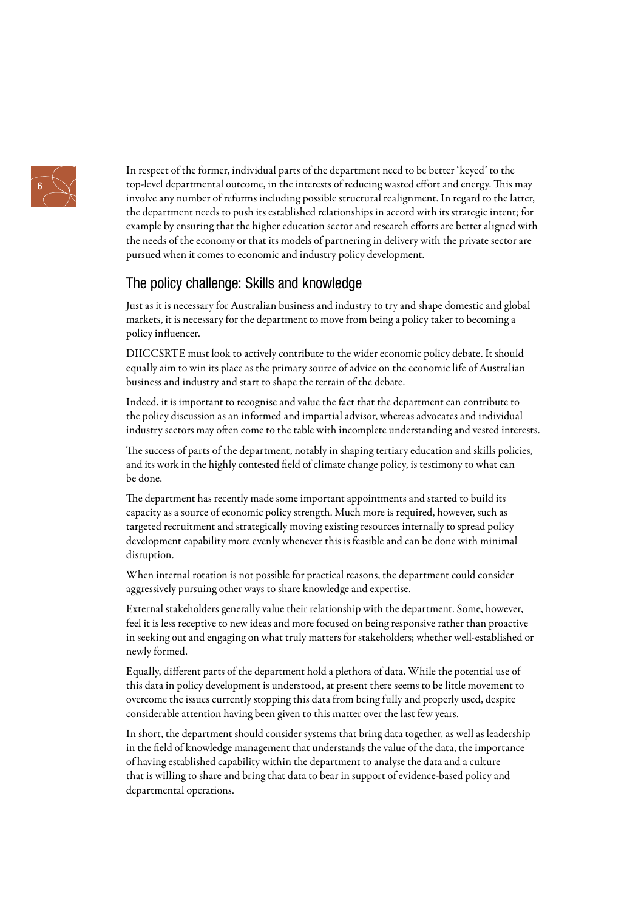

In respect of the former, individual parts of the department need to be better 'keyed' to the top-level departmental outcome, in the interests of reducing wasted effort and energy. This may involve any number of reforms including possible structural realignment. In regard to the latter, the department needs to push its established relationships in accord with its strategic intent; for example by ensuring that the higher education sector and research efforts are better aligned with the needs of the economy or that its models of partnering in delivery with the private sector are pursued when it comes to economic and industry policy development.

### The policy challenge: Skills and knowledge

Just as it is necessary for Australian business and industry to try and shape domestic and global markets, it is necessary for the department to move from being a policy taker to becoming a policy influencer.

DIICCSRTE must look to actively contribute to the wider economic policy debate. It should equally aim to win its place as the primary source of advice on the economic life of Australian business and industry and start to shape the terrain of the debate.

Indeed, it is important to recognise and value the fact that the department can contribute to the policy discussion as an informed and impartial advisor, whereas advocates and individual industry sectors may often come to the table with incomplete understanding and vested interests.

The success of parts of the department, notably in shaping tertiary education and skills policies, and its work in the highly contested field of climate change policy, is testimony to what can be done.

The department has recently made some important appointments and started to build its capacity as a source of economic policy strength. Much more is required, however, such as targeted recruitment and strategically moving existing resources internally to spread policy development capability more evenly whenever this is feasible and can be done with minimal disruption.

When internal rotation is not possible for practical reasons, the department could consider aggressively pursuing other ways to share knowledge and expertise.

External stakeholders generally value their relationship with the department. Some, however, feel it is less receptive to new ideas and more focused on being responsive rather than proactive in seeking out and engaging on what truly matters for stakeholders; whether well-established or newly formed.

Equally, different parts of the department hold a plethora of data. While the potential use of this data in policy development is understood, at present there seems to be little movement to overcome the issues currently stopping this data from being fully and properly used, despite considerable attention having been given to this matter over the last few years.

In short, the department should consider systems that bring data together, as well as leadership in the field of knowledge management that understands the value of the data, the importance of having established capability within the department to analyse the data and a culture that is willing to share and bring that data to bear in support of evidence-based policy and departmental operations.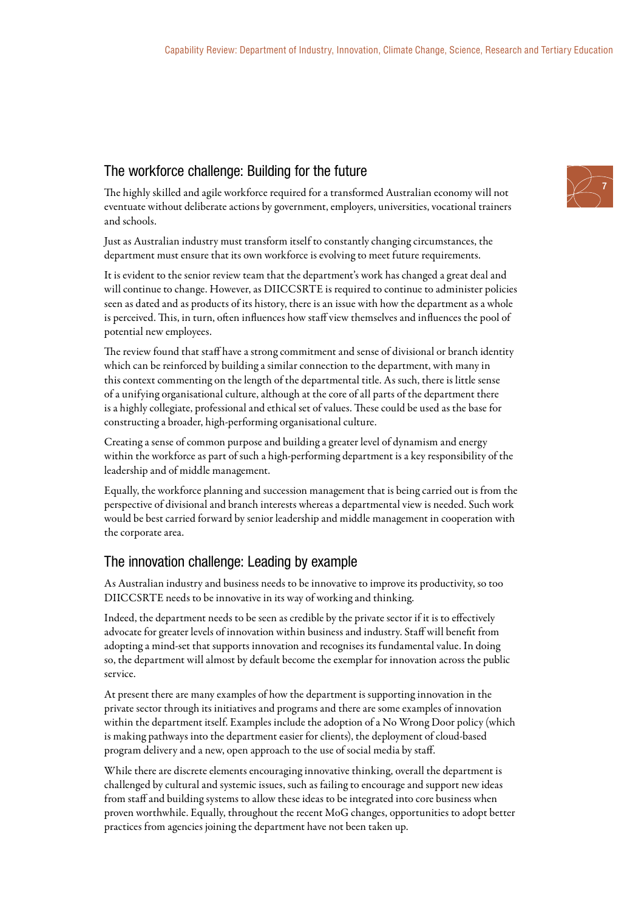### The workforce challenge: Building for the future



The highly skilled and agile workforce required for a transformed Australian economy will not eventuate without deliberate actions by government, employers, universities, vocational trainers and schools.

Just as Australian industry must transform itself to constantly changing circumstances, the department must ensure that its own workforce is evolving to meet future requirements.

It is evident to the senior review team that the department's work has changed a great deal and will continue to change. However, as DIICCSRTE is required to continue to administer policies seen as dated and as products of its history, there is an issue with how the department as a whole is perceived. This, in turn, often influences how staff view themselves and influences the pool of potential new employees.

The review found that staff have a strong commitment and sense of divisional or branch identity which can be reinforced by building a similar connection to the department, with many in this context commenting on the length of the departmental title. As such, there is little sense of a unifying organisational culture, although at the core of all parts of the department there is a highly collegiate, professional and ethical set of values. These could be used as the base for constructing a broader, high-performing organisational culture.

Creating a sense of common purpose and building a greater level of dynamism and energy within the workforce as part of such a high-performing department is a key responsibility of the leadership and of middle management.

Equally, the workforce planning and succession management that is being carried out is from the perspective of divisional and branch interests whereas a departmental view is needed. Such work would be best carried forward by senior leadership and middle management in cooperation with the corporate area.

## The innovation challenge: Leading by example

As Australian industry and business needs to be innovative to improve its productivity, so too DIICCSRTE needs to be innovative in its way of working and thinking.

Indeed, the department needs to be seen as credible by the private sector if it is to effectively advocate for greater levels of innovation within business and industry. Staff will benefit from adopting a mind-set that supports innovation and recognises its fundamental value. In doing so, the department will almost by default become the exemplar for innovation across the public service.

At present there are many examples of how the department is supporting innovation in the private sector through its initiatives and programs and there are some examples of innovation within the department itself. Examples include the adoption of a No Wrong Door policy (which is making pathways into the department easier for clients), the deployment of cloud-based program delivery and a new, open approach to the use of social media by staff.

While there are discrete elements encouraging innovative thinking, overall the department is challenged by cultural and systemic issues, such as failing to encourage and support new ideas from staff and building systems to allow these ideas to be integrated into core business when proven worthwhile. Equally, throughout the recent MoG changes, opportunities to adopt better practices from agencies joining the department have not been taken up.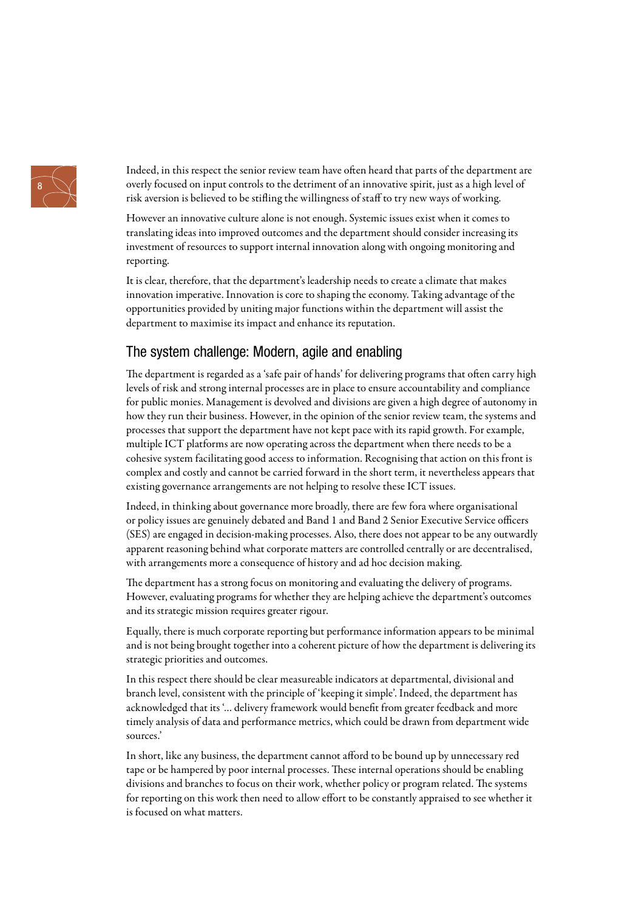

Indeed, in this respect the senior review team have often heard that parts of the department are overly focused on input controls to the detriment of an innovative spirit, just as a high level of risk aversion is believed to be stifling the willingness of staff to try new ways of working.

However an innovative culture alone is not enough. Systemic issues exist when it comes to translating ideas into improved outcomes and the department should consider increasing its investment of resources to support internal innovation along with ongoing monitoring and reporting.

It is clear, therefore, that the department's leadership needs to create a climate that makes innovation imperative. Innovation is core to shaping the economy. Taking advantage of the opportunities provided by uniting major functions within the department will assist the department to maximise its impact and enhance its reputation.

### The system challenge: Modern, agile and enabling

The department is regarded as a 'safe pair of hands' for delivering programs that often carry high levels of risk and strong internal processes are in place to ensure accountability and compliance for public monies. Management is devolved and divisions are given a high degree of autonomy in how they run their business. However, in the opinion of the senior review team, the systems and processes that support the department have not kept pace with its rapid growth. For example, multiple ICT platforms are now operating across the department when there needs to be a cohesive system facilitating good access to information. Recognising that action on this front is complex and costly and cannot be carried forward in the short term, it nevertheless appears that existing governance arrangements are not helping to resolve these ICT issues.

Indeed, in thinking about governance more broadly, there are few fora where organisational or policy issues are genuinely debated and Band 1 and Band 2 Senior Executive Service officers (SES) are engaged in decision-making processes. Also, there does not appear to be any outwardly apparent reasoning behind what corporate matters are controlled centrally or are decentralised, with arrangements more a consequence of history and ad hoc decision making.

The department has a strong focus on monitoring and evaluating the delivery of programs. However, evaluating programs for whether they are helping achieve the department's outcomes and its strategic mission requires greater rigour.

Equally, there is much corporate reporting but performance information appears to be minimal and is not being brought together into a coherent picture of how the department is delivering its strategic priorities and outcomes.

In this respect there should be clear measureable indicators at departmental, divisional and branch level, consistent with the principle of 'keeping it simple'. Indeed, the department has acknowledged that its '… delivery framework would benefit from greater feedback and more timely analysis of data and performance metrics, which could be drawn from department wide sources.'

In short, like any business, the department cannot afford to be bound up by unnecessary red tape or be hampered by poor internal processes. These internal operations should be enabling divisions and branches to focus on their work, whether policy or program related. The systems for reporting on this work then need to allow effort to be constantly appraised to see whether it is focused on what matters.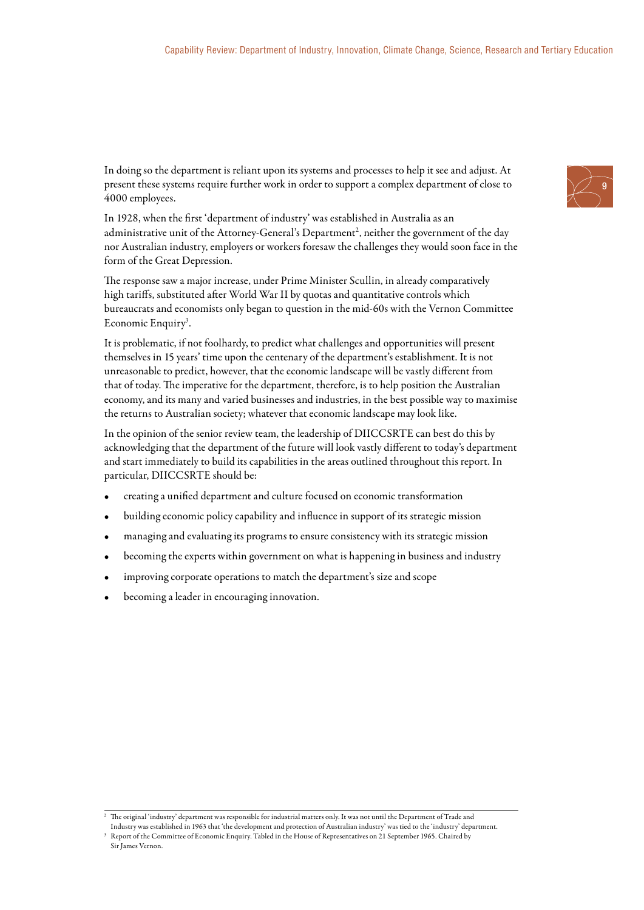In doing so the department is reliant upon its systems and processes to help it see and adjust. At present these systems require further work in order to support a complex department of close to 4000 employees.

In 1928, when the first 'department of industry' was established in Australia as an administrative unit of the Attorney-General's Department<sup>2</sup>, neither the government of the day nor Australian industry, employers or workers foresaw the challenges they would soon face in the form of the Great Depression.

The response saw a major increase, under Prime Minister Scullin, in already comparatively high tariffs, substituted after World War II by quotas and quantitative controls which bureaucrats and economists only began to question in the mid-60s with the Vernon Committee Economic Enquiry<sup>3</sup>.

It is problematic, if not foolhardy, to predict what challenges and opportunities will present themselves in 15 years' time upon the centenary of the department's establishment. It is not unreasonable to predict, however, that the economic landscape will be vastly different from that of today. The imperative for the department, therefore, is to help position the Australian economy, and its many and varied businesses and industries, in the best possible way to maximise the returns to Australian society; whatever that economic landscape may look like.

In the opinion of the senior review team, the leadership of DIICCSRTE can best do this by acknowledging that the department of the future will look vastly different to today's department and start immediately to build its capabilities in the areas outlined throughout this report. In particular, DIICCSRTE should be:

- creating a unified department and culture focused on economic transformation
- building economic policy capability and influence in support of its strategic mission
- managing and evaluating its programs to ensure consistency with its strategic mission
- becoming the experts within government on what is happening in business and industry
- improving corporate operations to match the department's size and scope
- becoming a leader in encouraging innovation.

Industry was established in 1963 that 'the development and protection of Australian industry' was tied to the 'industry' department.



<sup>2</sup> The original 'industry' department was responsible for industrial matters only. It was not until the Department of Trade and

<sup>3</sup> Report of the Committee of Economic Enquiry. Tabled in the House of Representatives on 21 September 1965. Chaired by Sir James Vernon.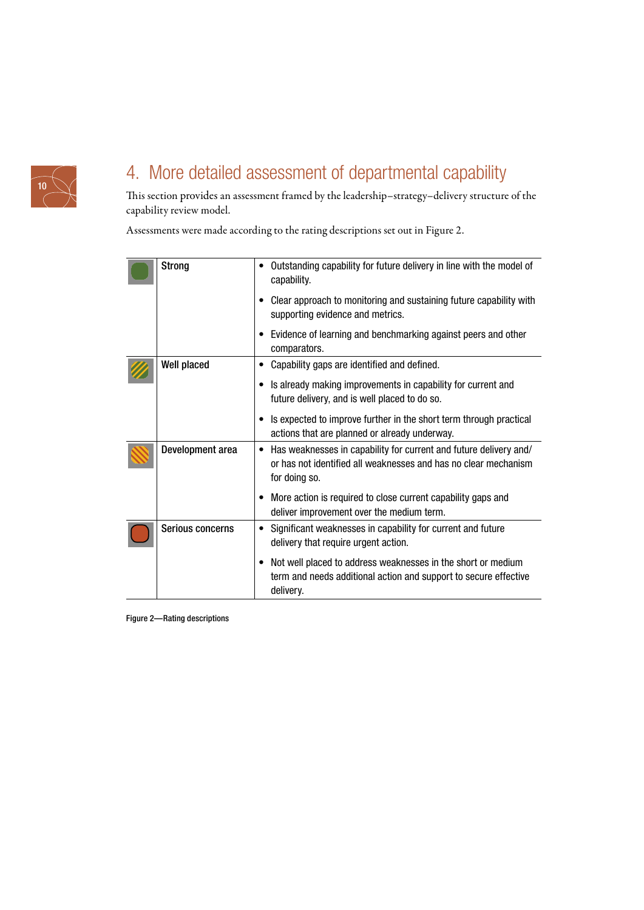

# 4. More detailed assessment of departmental capability

This section provides an assessment framed by the leadership–strategy–delivery structure of the capability review model.

Assessments were made according to the rating descriptions set out in Figure 2.

| <b>Strong</b>      | Outstanding capability for future delivery in line with the model of<br>capability.                                                                        |
|--------------------|------------------------------------------------------------------------------------------------------------------------------------------------------------|
|                    | Clear approach to monitoring and sustaining future capability with<br>supporting evidence and metrics.                                                     |
|                    | Evidence of learning and benchmarking against peers and other<br>$\bullet$<br>comparators.                                                                 |
| <b>Well placed</b> | Capability gaps are identified and defined.                                                                                                                |
|                    | Is already making improvements in capability for current and<br>$\bullet$<br>future delivery, and is well placed to do so.                                 |
|                    | Is expected to improve further in the short term through practical<br>actions that are planned or already underway.                                        |
| Development area   | Has weaknesses in capability for current and future delivery and/<br>or has not identified all weaknesses and has no clear mechanism<br>for doing so.      |
|                    | More action is required to close current capability gaps and<br>deliver improvement over the medium term.                                                  |
| Serious concerns   | Significant weaknesses in capability for current and future<br>delivery that require urgent action.                                                        |
|                    | Not well placed to address weaknesses in the short or medium<br>$\bullet$<br>term and needs additional action and support to secure effective<br>delivery. |

Figure 2—Rating descriptions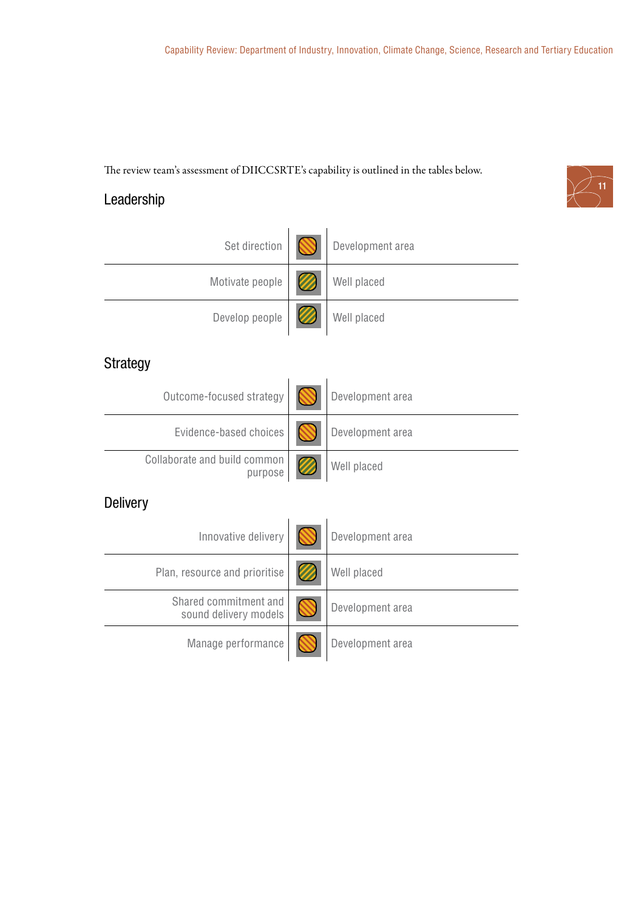The review team's assessment of DIICCSRTE's capability is outlined in the tables below.



# Leadership

| Set direction                                  | Development area |
|------------------------------------------------|------------------|
| Motivate people                                | Well placed      |
| Develop people                                 | Well placed      |
| Strategy                                       |                  |
| Outcome-focused strategy                       | Development area |
| Evidence-based choices                         | Development area |
| Collaborate and build common<br>purpose        | Well placed      |
| <b>Delivery</b>                                |                  |
| Innovative delivery                            | Development area |
| Plan, resource and prioritise                  | Well placed      |
| Shared commitment and<br>sound delivery models | Development area |
| Manage performance                             | Development area |
|                                                |                  |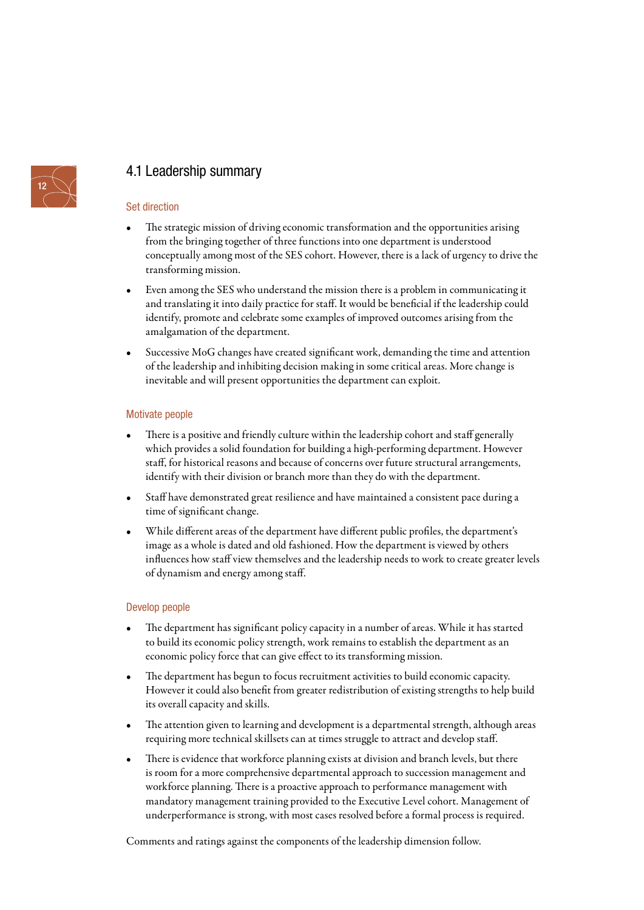

## 4.1 Leadership summary

### Set direction

- The strategic mission of driving economic transformation and the opportunities arising from the bringing together of three functions into one department is understood conceptually among most of the SES cohort. However, there is a lack of urgency to drive the transforming mission.
- Even among the SES who understand the mission there is a problem in communicating it and translating it into daily practice for staff. It would be beneficial if the leadership could identify, promote and celebrate some examples of improved outcomes arising from the amalgamation of the department.
- Successive MoG changes have created significant work, demanding the time and attention of the leadership and inhibiting decision making in some critical areas. More change is inevitable and will present opportunities the department can exploit.

#### Motivate people

- There is a positive and friendly culture within the leadership cohort and staff generally which provides a solid foundation for building a high-performing department. However staff, for historical reasons and because of concerns over future structural arrangements, identify with their division or branch more than they do with the department.
- Staff have demonstrated great resilience and have maintained a consistent pace during a time of significant change.
- While different areas of the department have different public profiles, the department's image as a whole is dated and old fashioned. How the department is viewed by others influences how staff view themselves and the leadership needs to work to create greater levels of dynamism and energy among staff.

#### Develop people

- The department has significant policy capacity in a number of areas. While it has started to build its economic policy strength, work remains to establish the department as an economic policy force that can give effect to its transforming mission.
- The department has begun to focus recruitment activities to build economic capacity. However it could also benefit from greater redistribution of existing strengths to help build its overall capacity and skills.
- The attention given to learning and development is a departmental strength, although areas requiring more technical skillsets can at times struggle to attract and develop staff.
- There is evidence that workforce planning exists at division and branch levels, but there is room for a more comprehensive departmental approach to succession management and workforce planning. There is a proactive approach to performance management with mandatory management training provided to the Executive Level cohort. Management of underperformance is strong, with most cases resolved before a formal process is required.

Comments and ratings against the components of the leadership dimension follow.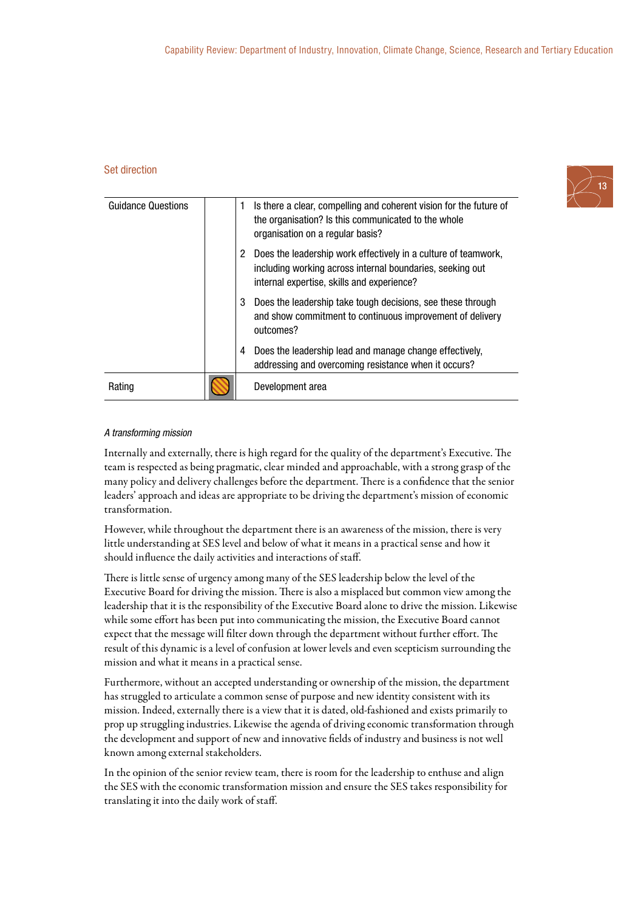#### Set direction



| <b>Guidance Questions</b> | 1 | Is there a clear, compelling and coherent vision for the future of<br>the organisation? Is this communicated to the whole<br>organisation on a regular basis?             |
|---------------------------|---|---------------------------------------------------------------------------------------------------------------------------------------------------------------------------|
|                           | 2 | Does the leadership work effectively in a culture of teamwork,<br>including working across internal boundaries, seeking out<br>internal expertise, skills and experience? |
|                           | 3 | Does the leadership take tough decisions, see these through<br>and show commitment to continuous improvement of delivery<br>outcomes?                                     |
|                           | 4 | Does the leadership lead and manage change effectively,<br>addressing and overcoming resistance when it occurs?                                                           |
| Rating                    |   | Development area                                                                                                                                                          |

#### A transforming mission

Internally and externally, there is high regard for the quality of the department's Executive. The team is respected as being pragmatic, clear minded and approachable, with a strong grasp of the many policy and delivery challenges before the department. There is a confidence that the senior leaders' approach and ideas are appropriate to be driving the department's mission of economic transformation.

However, while throughout the department there is an awareness of the mission, there is very little understanding at SES level and below of what it means in a practical sense and how it should influence the daily activities and interactions of staff.

There is little sense of urgency among many of the SES leadership below the level of the Executive Board for driving the mission. There is also a misplaced but common view among the leadership that it is the responsibility of the Executive Board alone to drive the mission. Likewise while some effort has been put into communicating the mission, the Executive Board cannot expect that the message will filter down through the department without further effort. The result of this dynamic is a level of confusion at lower levels and even scepticism surrounding the mission and what it means in a practical sense.

Furthermore, without an accepted understanding or ownership of the mission, the department has struggled to articulate a common sense of purpose and new identity consistent with its mission. Indeed, externally there is a view that it is dated, old-fashioned and exists primarily to prop up struggling industries. Likewise the agenda of driving economic transformation through the development and support of new and innovative fields of industry and business is not well known among external stakeholders.

In the opinion of the senior review team, there is room for the leadership to enthuse and align the SES with the economic transformation mission and ensure the SES takes responsibility for translating it into the daily work of staff.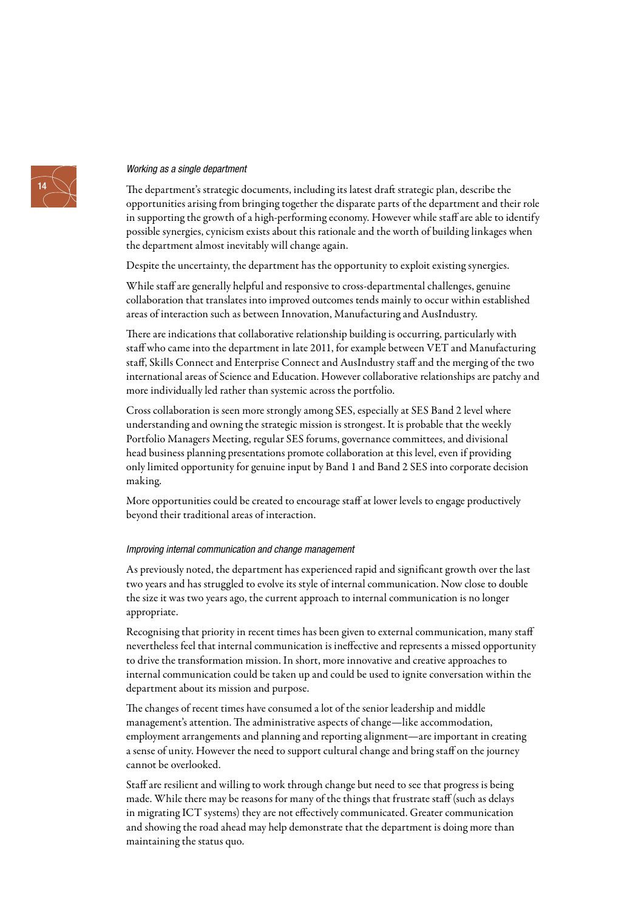### Working as a single department

The department's strategic documents, including its latest draft strategic plan, describe the opportunities arising from bringing together the disparate parts of the department and their role in supporting the growth of a high-performing economy. However while staff are able to identify possible synergies, cynicism exists about this rationale and the worth of building linkages when the department almost inevitably will change again.

Despite the uncertainty, the department has the opportunity to exploit existing synergies.

While staff are generally helpful and responsive to cross-departmental challenges, genuine collaboration that translates into improved outcomes tends mainly to occur within established areas of interaction such as between Innovation, Manufacturing and AusIndustry.

There are indications that collaborative relationship building is occurring, particularly with staff who came into the department in late 2011, for example between VET and Manufacturing staff, Skills Connect and Enterprise Connect and AusIndustry staff and the merging of the two international areas of Science and Education. However collaborative relationships are patchy and more individually led rather than systemic across the portfolio.

Cross collaboration is seen more strongly among SES, especially at SES Band 2 level where understanding and owning the strategic mission is strongest. It is probable that the weekly Portfolio Managers Meeting, regular SES forums, governance committees, and divisional head business planning presentations promote collaboration at this level, even if providing only limited opportunity for genuine input by Band 1 and Band 2 SES into corporate decision making.

More opportunities could be created to encourage staff at lower levels to engage productively beyond their traditional areas of interaction.

#### Improving internal communication and change management

As previously noted, the department has experienced rapid and significant growth over the last two years and has struggled to evolve its style of internal communication. Now close to double the size it was two years ago, the current approach to internal communication is no longer appropriate.

Recognising that priority in recent times has been given to external communication, many staff nevertheless feel that internal communication is ineffective and represents a missed opportunity to drive the transformation mission. In short, more innovative and creative approaches to internal communication could be taken up and could be used to ignite conversation within the department about its mission and purpose.

The changes of recent times have consumed a lot of the senior leadership and middle management's attention. The administrative aspects of change—like accommodation, employment arrangements and planning and reporting alignment—are important in creating a sense of unity. However the need to support cultural change and bring staff on the journey cannot be overlooked.

Staff are resilient and willing to work through change but need to see that progress is being made. While there may be reasons for many of the things that frustrate staff (such as delays in migrating ICT systems) they are not effectively communicated. Greater communication and showing the road ahead may help demonstrate that the department is doing more than maintaining the status quo.

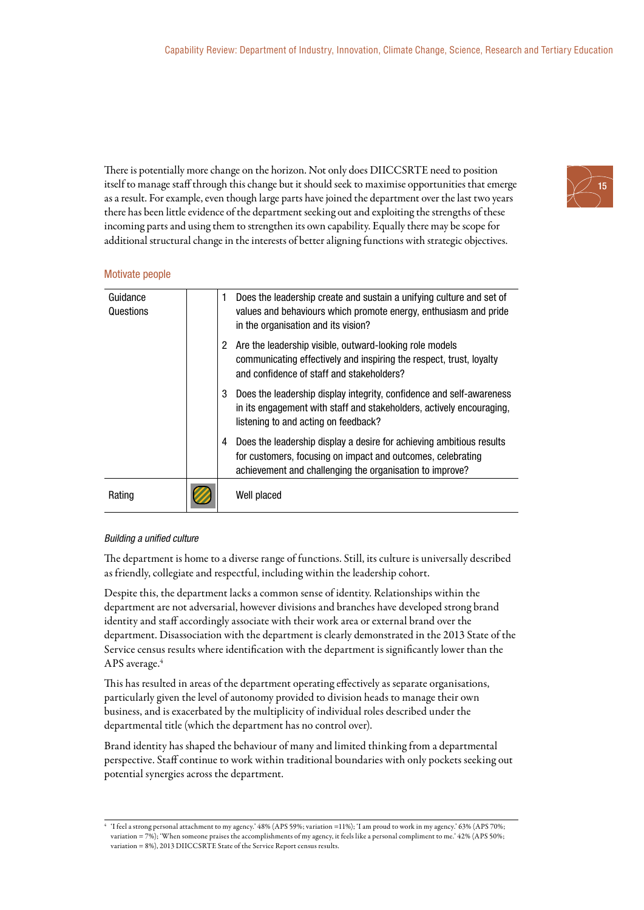There is potentially more change on the horizon. Not only does DIICCSRTE need to position itself to manage staff through this change but it should seek to maximise opportunities that emerge as a result. For example, even though large parts have joined the department over the last two years there has been little evidence of the department seeking out and exploiting the strengths of these incoming parts and using them to strengthen its own capability. Equally there may be scope for additional structural change in the interests of better aligning functions with strategic objectives.



#### Motivate people

| Guidance<br>Questions | 1. | Does the leadership create and sustain a unifying culture and set of<br>values and behaviours which promote energy, enthusiasm and pride<br>in the organisation and its vision?                 |
|-----------------------|----|-------------------------------------------------------------------------------------------------------------------------------------------------------------------------------------------------|
|                       | 2  | Are the leadership visible, outward-looking role models<br>communicating effectively and inspiring the respect, trust, loyalty<br>and confidence of staff and stakeholders?                     |
|                       | 3  | Does the leadership display integrity, confidence and self-awareness<br>in its engagement with staff and stakeholders, actively encouraging,<br>listening to and acting on feedback?            |
|                       | 4  | Does the leadership display a desire for achieving ambitious results<br>for customers, focusing on impact and outcomes, celebrating<br>achievement and challenging the organisation to improve? |
| Rating                |    | Well placed                                                                                                                                                                                     |

#### Building a unified culture

The department is home to a diverse range of functions. Still, its culture is universally described as friendly, collegiate and respectful, including within the leadership cohort.

Despite this, the department lacks a common sense of identity. Relationships within the department are not adversarial, however divisions and branches have developed strong brand identity and staff accordingly associate with their work area or external brand over the department. Disassociation with the department is clearly demonstrated in the 2013 State of the Service census results where identification with the department is significantly lower than the APS average.<sup>4</sup>

This has resulted in areas of the department operating effectively as separate organisations, particularly given the level of autonomy provided to division heads to manage their own business, and is exacerbated by the multiplicity of individual roles described under the departmental title (which the department has no control over).

Brand identity has shaped the behaviour of many and limited thinking from a departmental perspective. Staff continue to work within traditional boundaries with only pockets seeking out potential synergies across the department.

<sup>4</sup> 'I feel a strong personal attachment to my agency.' 48% (APS 59%; variation =11%); 'I am proud to work in my agency.' 63% (APS 70%; variation = 7%); 'When someone praises the accomplishments of my agency, it feels like a personal compliment to me.' 42% (APS 50%; variation = 8%), 2013 DIICCSRTE State of the Service Report census results.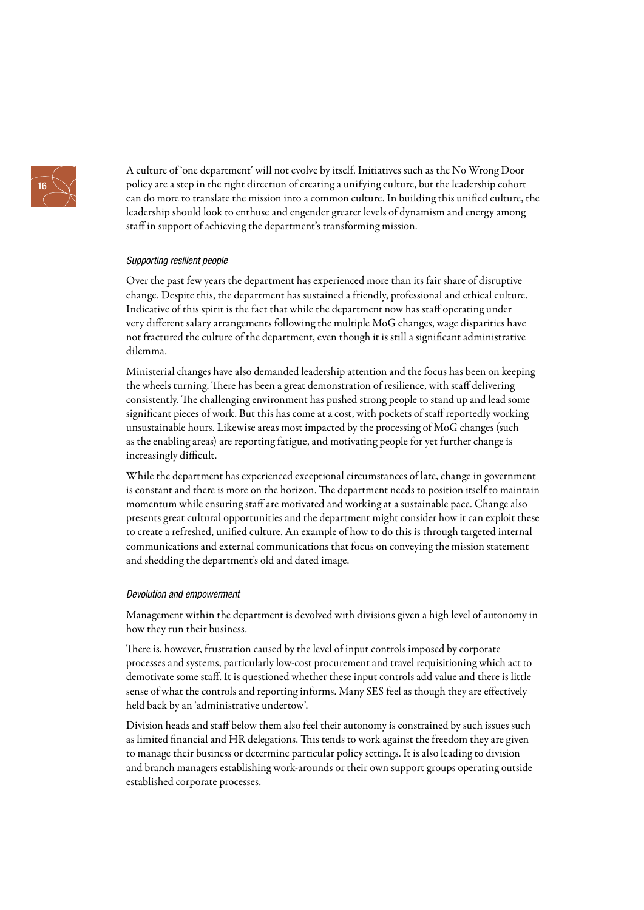

A culture of 'one department' will not evolve by itself. Initiatives such as the No Wrong Door policy are a step in the right direction of creating a unifying culture, but the leadership cohort can do more to translate the mission into a common culture. In building this unified culture, the leadership should look to enthuse and engender greater levels of dynamism and energy among staff in support of achieving the department's transforming mission.

#### Supporting resilient people

Over the past few years the department has experienced more than its fair share of disruptive change. Despite this, the department has sustained a friendly, professional and ethical culture. Indicative of this spirit is the fact that while the department now has staff operating under very different salary arrangements following the multiple MoG changes, wage disparities have not fractured the culture of the department, even though it is still a significant administrative dilemma.

Ministerial changes have also demanded leadership attention and the focus has been on keeping the wheels turning. There has been a great demonstration of resilience, with staff delivering consistently. The challenging environment has pushed strong people to stand up and lead some significant pieces of work. But this has come at a cost, with pockets of staff reportedly working unsustainable hours. Likewise areas most impacted by the processing of MoG changes (such as the enabling areas) are reporting fatigue, and motivating people for yet further change is increasingly difficult.

While the department has experienced exceptional circumstances of late, change in government is constant and there is more on the horizon. The department needs to position itself to maintain momentum while ensuring staff are motivated and working at a sustainable pace. Change also presents great cultural opportunities and the department might consider how it can exploit these to create a refreshed, unified culture. An example of how to do this is through targeted internal communications and external communications that focus on conveying the mission statement and shedding the department's old and dated image.

#### Devolution and empowerment

Management within the department is devolved with divisions given a high level of autonomy in how they run their business.

There is, however, frustration caused by the level of input controls imposed by corporate processes and systems, particularly low-cost procurement and travel requisitioning which act to demotivate some staff. It is questioned whether these input controls add value and there is little sense of what the controls and reporting informs. Many SES feel as though they are effectively held back by an 'administrative undertow'.

Division heads and staff below them also feel their autonomy is constrained by such issues such as limited financial and HR delegations. This tends to work against the freedom they are given to manage their business or determine particular policy settings. It is also leading to division and branch managers establishing work-arounds or their own support groups operating outside established corporate processes.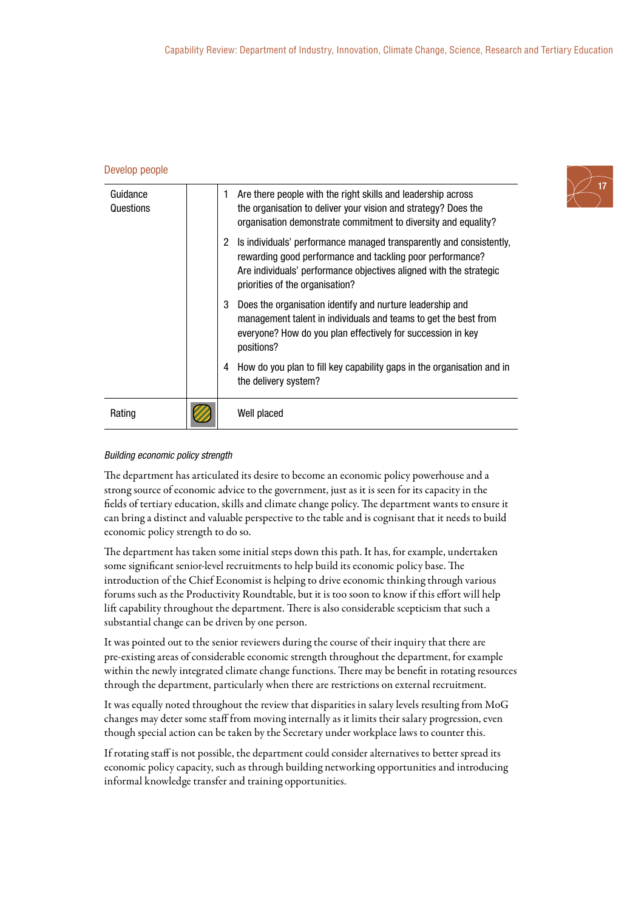#### Develop people

| Guidance<br>Questions | 1                    | Are there people with the right skills and leadership across<br>the organisation to deliver your vision and strategy? Does the                                                                                                            |
|-----------------------|----------------------|-------------------------------------------------------------------------------------------------------------------------------------------------------------------------------------------------------------------------------------------|
|                       |                      | organisation demonstrate commitment to diversity and equality?                                                                                                                                                                            |
|                       | $\mathbf{2}^{\circ}$ | Is individuals' performance managed transparently and consistently,<br>rewarding good performance and tackling poor performance?<br>Are individuals' performance objectives aligned with the strategic<br>priorities of the organisation? |
|                       | 3                    | Does the organisation identify and nurture leadership and<br>management talent in individuals and teams to get the best from<br>everyone? How do you plan effectively for succession in key<br>positions?                                 |
|                       | 4                    | How do you plan to fill key capability gaps in the organisation and in<br>the delivery system?                                                                                                                                            |
| Rating                |                      | Well placed                                                                                                                                                                                                                               |

#### Building economic policy strength

The department has articulated its desire to become an economic policy powerhouse and a strong source of economic advice to the government, just as it is seen for its capacity in the fields of tertiary education, skills and climate change policy. The department wants to ensure it can bring a distinct and valuable perspective to the table and is cognisant that it needs to build economic policy strength to do so.

The department has taken some initial steps down this path. It has, for example, undertaken some significant senior-level recruitments to help build its economic policy base. The introduction of the Chief Economist is helping to drive economic thinking through various forums such as the Productivity Roundtable, but it is too soon to know if this effort will help lift capability throughout the department. There is also considerable scepticism that such a substantial change can be driven by one person.

It was pointed out to the senior reviewers during the course of their inquiry that there are pre-existing areas of considerable economic strength throughout the department, for example within the newly integrated climate change functions. There may be benefit in rotating resources through the department, particularly when there are restrictions on external recruitment.

It was equally noted throughout the review that disparities in salary levels resulting from MoG changes may deter some staff from moving internally as it limits their salary progression, even though special action can be taken by the Secretary under workplace laws to counter this.

If rotating staff is not possible, the department could consider alternatives to better spread its economic policy capacity, such as through building networking opportunities and introducing informal knowledge transfer and training opportunities.

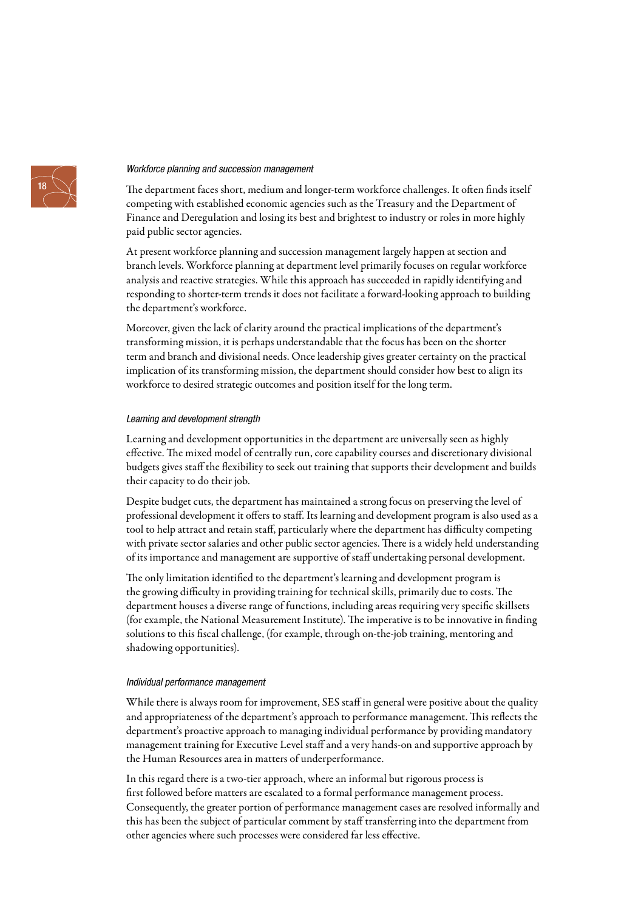#### Workforce planning and succession management

The department faces short, medium and longer-term workforce challenges. It often finds itself competing with established economic agencies such as the Treasury and the Department of Finance and Deregulation and losing its best and brightest to industry or roles in more highly paid public sector agencies.

At present workforce planning and succession management largely happen at section and branch levels. Workforce planning at department level primarily focuses on regular workforce analysis and reactive strategies. While this approach has succeeded in rapidly identifying and responding to shorter-term trends it does not facilitate a forward-looking approach to building the department's workforce.

Moreover, given the lack of clarity around the practical implications of the department's transforming mission, it is perhaps understandable that the focus has been on the shorter term and branch and divisional needs. Once leadership gives greater certainty on the practical implication of its transforming mission, the department should consider how best to align its workforce to desired strategic outcomes and position itself for the long term.

#### Learning and development strength

Learning and development opportunities in the department are universally seen as highly effective. The mixed model of centrally run, core capability courses and discretionary divisional budgets gives staff the flexibility to seek out training that supports their development and builds their capacity to do their job.

Despite budget cuts, the department has maintained a strong focus on preserving the level of professional development it offers to staff. Its learning and development program is also used as a tool to help attract and retain staff, particularly where the department has difficulty competing with private sector salaries and other public sector agencies. There is a widely held understanding of its importance and management are supportive of staff undertaking personal development.

The only limitation identified to the department's learning and development program is the growing difficulty in providing training for technical skills, primarily due to costs. The department houses a diverse range of functions, including areas requiring very specific skillsets (for example, the National Measurement Institute). The imperative is to be innovative in finding solutions to this fiscal challenge, (for example, through on-the-job training, mentoring and shadowing opportunities).

#### Individual performance management

While there is always room for improvement, SES staff in general were positive about the quality and appropriateness of the department's approach to performance management. This reflects the department's proactive approach to managing individual performance by providing mandatory management training for Executive Level staff and a very hands-on and supportive approach by the Human Resources area in matters of underperformance.

In this regard there is a two-tier approach, where an informal but rigorous process is first followed before matters are escalated to a formal performance management process. Consequently, the greater portion of performance management cases are resolved informally and this has been the subject of particular comment by staff transferring into the department from other agencies where such processes were considered far less effective.

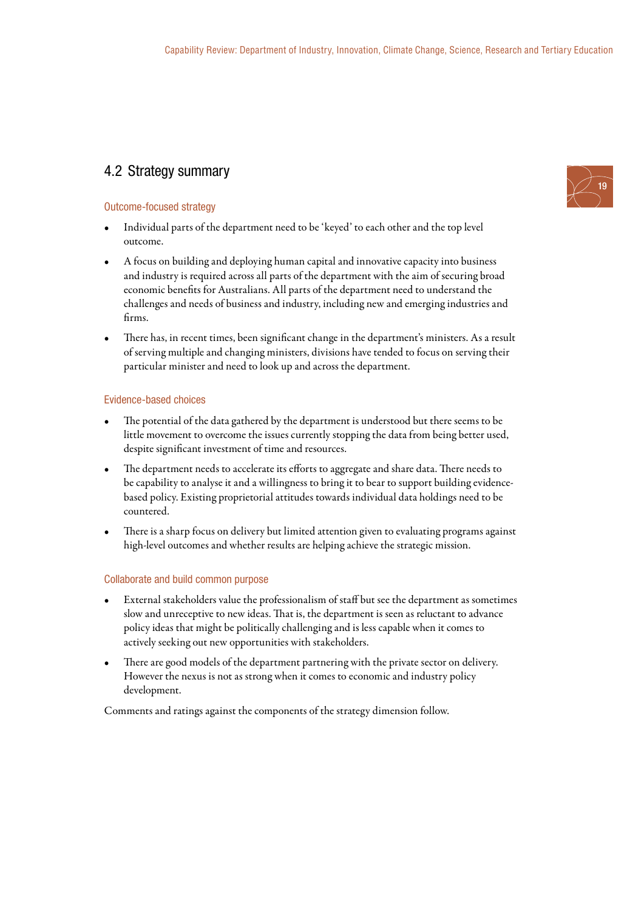### 4.2 Strategy summary

#### Outcome-focused strategy

- Individual parts of the department need to be 'keyed' to each other and the top level outcome.
- A focus on building and deploying human capital and innovative capacity into business and industry is required across all parts of the department with the aim of securing broad economic benefits for Australians. All parts of the department need to understand the challenges and needs of business and industry, including new and emerging industries and firms.
- There has, in recent times, been significant change in the department's ministers. As a result of serving multiple and changing ministers, divisions have tended to focus on serving their particular minister and need to look up and across the department.

#### Evidence-based choices

- The potential of the data gathered by the department is understood but there seems to be little movement to overcome the issues currently stopping the data from being better used, despite significant investment of time and resources.
- The department needs to accelerate its efforts to aggregate and share data. There needs to be capability to analyse it and a willingness to bring it to bear to support building evidencebased policy. Existing proprietorial attitudes towards individual data holdings need to be countered.
- There is a sharp focus on delivery but limited attention given to evaluating programs against high-level outcomes and whether results are helping achieve the strategic mission.

#### Collaborate and build common purpose

- External stakeholders value the professionalism of staff but see the department as sometimes slow and unreceptive to new ideas. That is, the department is seen as reluctant to advance policy ideas that might be politically challenging and is less capable when it comes to actively seeking out new opportunities with stakeholders.
- There are good models of the department partnering with the private sector on delivery. However the nexus is not as strong when it comes to economic and industry policy development.

Comments and ratings against the components of the strategy dimension follow.

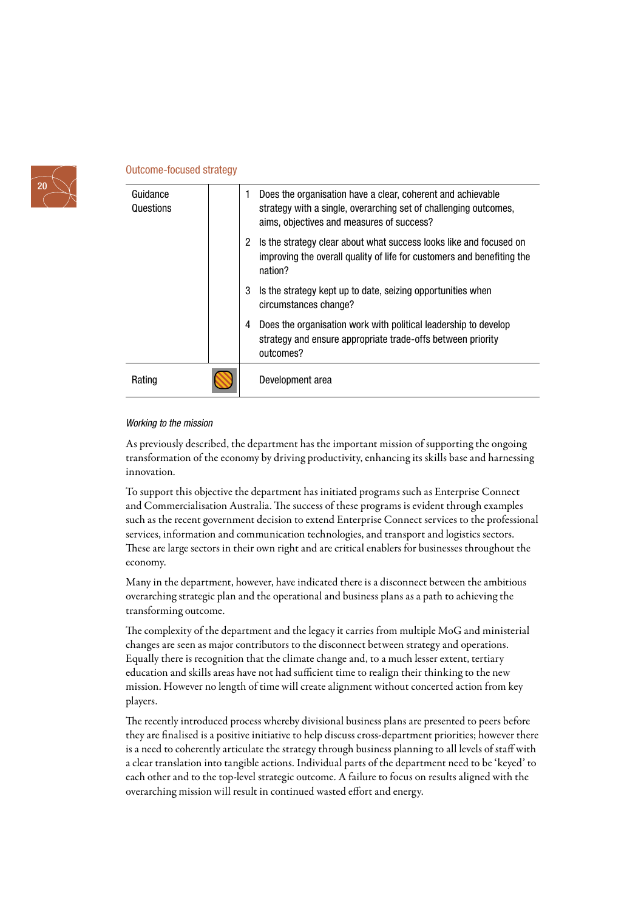

#### Outcome-focused strategy

| Guidance<br>Questions | 1 | Does the organisation have a clear, coherent and achievable<br>strategy with a single, overarching set of challenging outcomes,<br>aims, objectives and measures of success? |
|-----------------------|---|------------------------------------------------------------------------------------------------------------------------------------------------------------------------------|
|                       | 2 | Is the strategy clear about what success looks like and focused on<br>improving the overall quality of life for customers and benefiting the<br>nation?                      |
|                       | 3 | Is the strategy kept up to date, seizing opportunities when<br>circumstances change?                                                                                         |
|                       | 4 | Does the organisation work with political leadership to develop<br>strategy and ensure appropriate trade-offs between priority<br>outcomes?                                  |
| Rating                |   | Development area                                                                                                                                                             |

#### Working to the mission

As previously described, the department has the important mission of supporting the ongoing transformation of the economy by driving productivity, enhancing its skills base and harnessing innovation.

To support this objective the department has initiated programs such as Enterprise Connect and Commercialisation Australia. The success of these programs is evident through examples such as the recent government decision to extend Enterprise Connect services to the professional services, information and communication technologies, and transport and logistics sectors. These are large sectors in their own right and are critical enablers for businesses throughout the economy.

Many in the department, however, have indicated there is a disconnect between the ambitious overarching strategic plan and the operational and business plans as a path to achieving the transforming outcome.

The complexity of the department and the legacy it carries from multiple MoG and ministerial changes are seen as major contributors to the disconnect between strategy and operations. Equally there is recognition that the climate change and, to a much lesser extent, tertiary education and skills areas have not had sufficient time to realign their thinking to the new mission. However no length of time will create alignment without concerted action from key players.

The recently introduced process whereby divisional business plans are presented to peers before they are finalised is a positive initiative to help discuss cross-department priorities; however there is a need to coherently articulate the strategy through business planning to all levels of staff with a clear translation into tangible actions. Individual parts of the department need to be 'keyed' to each other and to the top-level strategic outcome. A failure to focus on results aligned with the overarching mission will result in continued wasted effort and energy.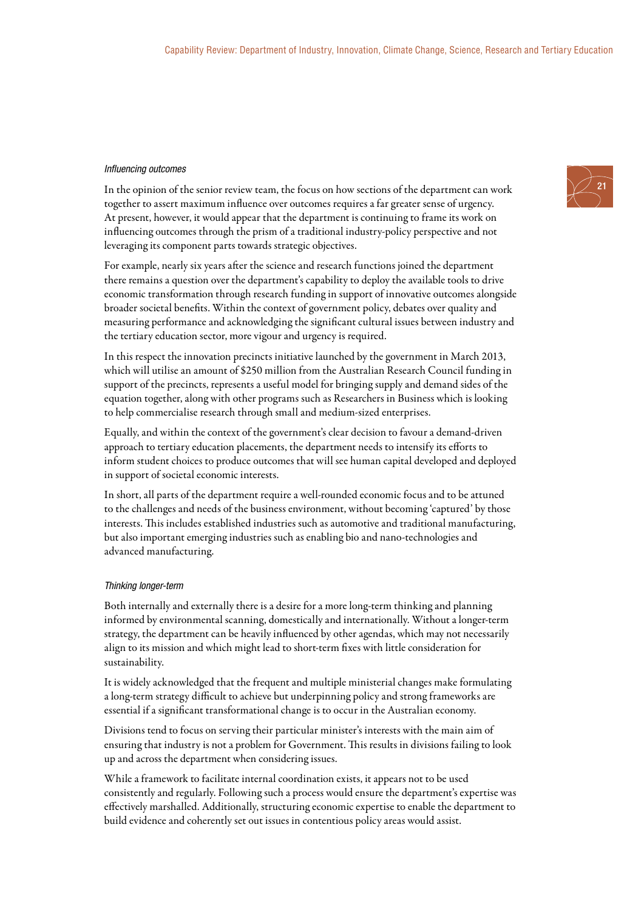#### Influencing outcomes

In the opinion of the senior review team, the focus on how sections of the department can work together to assert maximum influence over outcomes requires a far greater sense of urgency. At present, however, it would appear that the department is continuing to frame its work on influencing outcomes through the prism of a traditional industry-policy perspective and not leveraging its component parts towards strategic objectives.

For example, nearly six years after the science and research functions joined the department there remains a question over the department's capability to deploy the available tools to drive economic transformation through research funding in support of innovative outcomes alongside broader societal benefits. Within the context of government policy, debates over quality and measuring performance and acknowledging the significant cultural issues between industry and the tertiary education sector, more vigour and urgency is required.

In this respect the innovation precincts initiative launched by the government in March 2013, which will utilise an amount of \$250 million from the Australian Research Council funding in support of the precincts, represents a useful model for bringing supply and demand sides of the equation together, along with other programs such as Researchers in Business which is looking to help commercialise research through small and medium-sized enterprises.

Equally, and within the context of the government's clear decision to favour a demand-driven approach to tertiary education placements, the department needs to intensify its efforts to inform student choices to produce outcomes that will see human capital developed and deployed in support of societal economic interests.

In short, all parts of the department require a well-rounded economic focus and to be attuned to the challenges and needs of the business environment, without becoming 'captured' by those interests. This includes established industries such as automotive and traditional manufacturing, but also important emerging industries such as enabling bio and nano-technologies and advanced manufacturing.

#### Thinking longer-term

Both internally and externally there is a desire for a more long-term thinking and planning informed by environmental scanning, domestically and internationally. Without a longer-term strategy, the department can be heavily influenced by other agendas, which may not necessarily align to its mission and which might lead to short-term fixes with little consideration for sustainability.

It is widely acknowledged that the frequent and multiple ministerial changes make formulating a long-term strategy difficult to achieve but underpinning policy and strong frameworks are essential if a significant transformational change is to occur in the Australian economy.

Divisions tend to focus on serving their particular minister's interests with the main aim of ensuring that industry is not a problem for Government. This results in divisions failing to look up and across the department when considering issues.

While a framework to facilitate internal coordination exists, it appears not to be used consistently and regularly. Following such a process would ensure the department's expertise was effectively marshalled. Additionally, structuring economic expertise to enable the department to build evidence and coherently set out issues in contentious policy areas would assist.

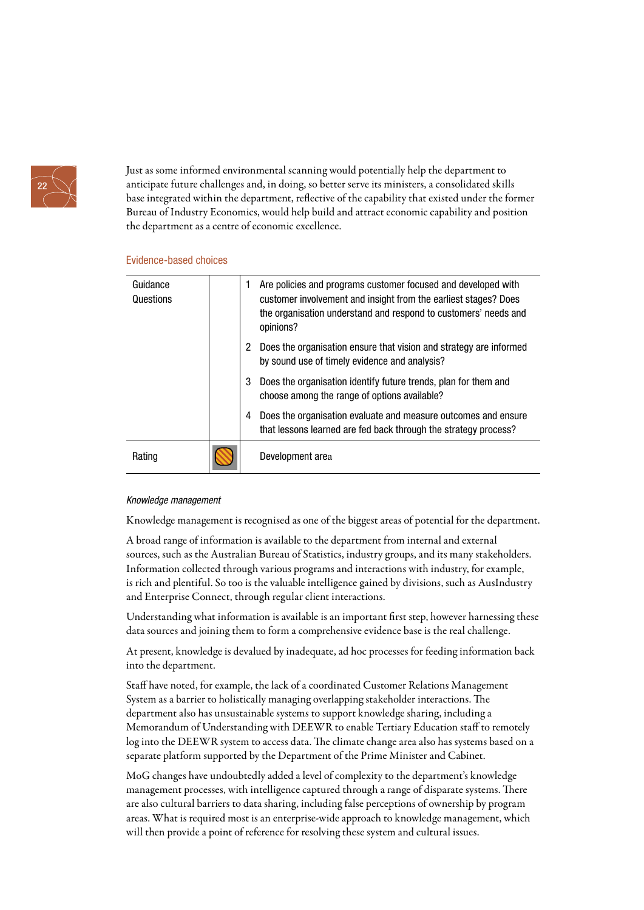

Just as some informed environmental scanning would potentially help the department to anticipate future challenges and, in doing, so better serve its ministers, a consolidated skills base integrated within the department, reflective of the capability that existed under the former Bureau of Industry Economics, would help build and attract economic capability and position the department as a centre of economic excellence.

#### Evidence-based choices

| Guidance<br>Questions | 1 | Are policies and programs customer focused and developed with<br>customer involvement and insight from the earliest stages? Does<br>the organisation understand and respond to customers' needs and<br>opinions? |
|-----------------------|---|------------------------------------------------------------------------------------------------------------------------------------------------------------------------------------------------------------------|
|                       | 2 | Does the organisation ensure that vision and strategy are informed<br>by sound use of timely evidence and analysis?                                                                                              |
|                       | 3 | Does the organisation identify future trends, plan for them and<br>choose among the range of options available?                                                                                                  |
|                       | 4 | Does the organisation evaluate and measure outcomes and ensure<br>that lessons learned are fed back through the strategy process?                                                                                |
| Rating                |   | Development area                                                                                                                                                                                                 |

### Knowledge management

Knowledge management is recognised as one of the biggest areas of potential for the department.

A broad range of information is available to the department from internal and external sources, such as the Australian Bureau of Statistics, industry groups, and its many stakeholders. Information collected through various programs and interactions with industry, for example, is rich and plentiful. So too is the valuable intelligence gained by divisions, such as AusIndustry and Enterprise Connect, through regular client interactions.

Understanding what information is available is an important first step, however harnessing these data sources and joining them to form a comprehensive evidence base is the real challenge.

At present, knowledge is devalued by inadequate, ad hoc processes for feeding information back into the department.

Staff have noted, for example, the lack of a coordinated Customer Relations Management System as a barrier to holistically managing overlapping stakeholder interactions. The department also has unsustainable systems to support knowledge sharing, including a Memorandum of Understanding with DEEWR to enable Tertiary Education staff to remotely log into the DEEWR system to access data. The climate change area also has systems based on a separate platform supported by the Department of the Prime Minister and Cabinet.

MoG changes have undoubtedly added a level of complexity to the department's knowledge management processes, with intelligence captured through a range of disparate systems. There are also cultural barriers to data sharing, including false perceptions of ownership by program areas. What is required most is an enterprise-wide approach to knowledge management, which will then provide a point of reference for resolving these system and cultural issues.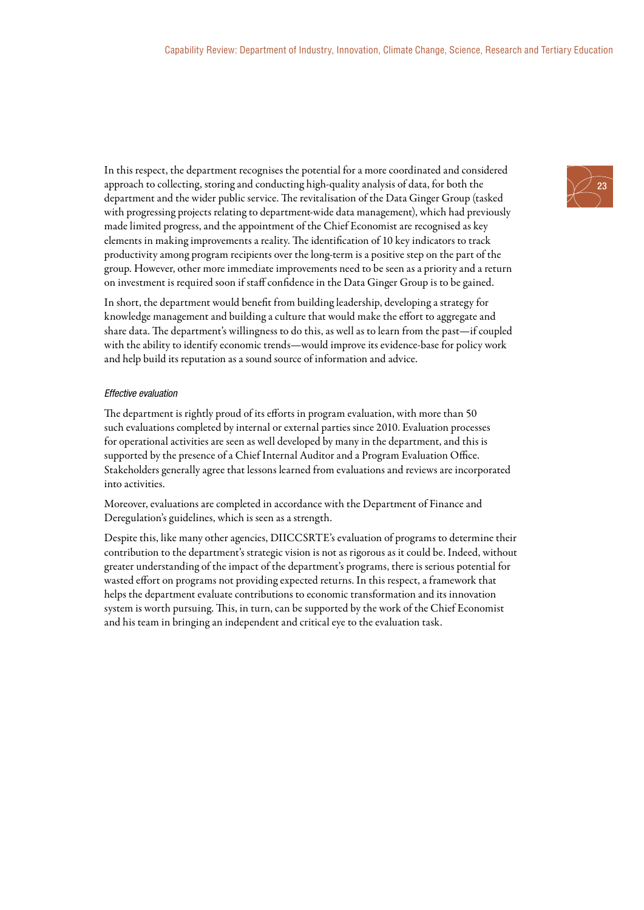In this respect, the department recognises the potential for a more coordinated and considered approach to collecting, storing and conducting high-quality analysis of data, for both the department and the wider public service. The revitalisation of the Data Ginger Group (tasked with progressing projects relating to department-wide data management), which had previously made limited progress, and the appointment of the Chief Economist are recognised as key elements in making improvements a reality. The identification of 10 key indicators to track productivity among program recipients over the long-term is a positive step on the part of the group. However, other more immediate improvements need to be seen as a priority and a return on investment is required soon if staff confidence in the Data Ginger Group is to be gained.

In short, the department would benefit from building leadership, developing a strategy for knowledge management and building a culture that would make the effort to aggregate and share data. The department's willingness to do this, as well as to learn from the past—if coupled with the ability to identify economic trends—would improve its evidence-base for policy work and help build its reputation as a sound source of information and advice.

#### Effective evaluation

The department is rightly proud of its efforts in program evaluation, with more than 50 such evaluations completed by internal or external parties since 2010. Evaluation processes for operational activities are seen as well developed by many in the department, and this is supported by the presence of a Chief Internal Auditor and a Program Evaluation Office. Stakeholders generally agree that lessons learned from evaluations and reviews are incorporated into activities.

Moreover, evaluations are completed in accordance with the Department of Finance and Deregulation's guidelines, which is seen as a strength.

Despite this, like many other agencies, DIICCSRTE's evaluation of programs to determine their contribution to the department's strategic vision is not as rigorous as it could be. Indeed, without greater understanding of the impact of the department's programs, there is serious potential for wasted effort on programs not providing expected returns. In this respect, a framework that helps the department evaluate contributions to economic transformation and its innovation system is worth pursuing. This, in turn, can be supported by the work of the Chief Economist and his team in bringing an independent and critical eye to the evaluation task.

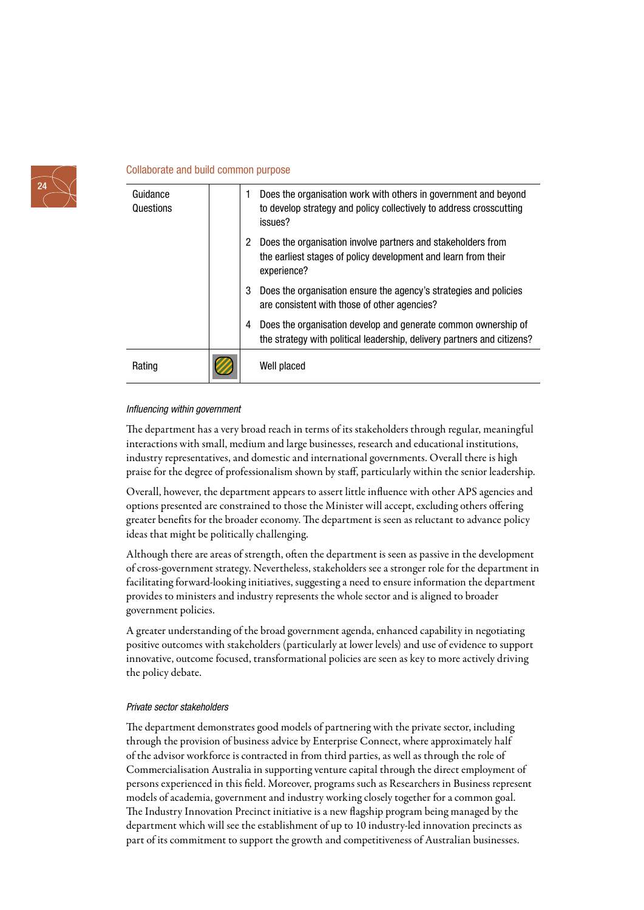

#### Collaborate and build common purpose

| Guidance<br>Questions | 1 | Does the organisation work with others in government and beyond<br>to develop strategy and policy collectively to address crosscutting<br>issues? |
|-----------------------|---|---------------------------------------------------------------------------------------------------------------------------------------------------|
|                       | 2 | Does the organisation involve partners and stakeholders from<br>the earliest stages of policy development and learn from their<br>experience?     |
|                       | 3 | Does the organisation ensure the agency's strategies and policies<br>are consistent with those of other agencies?                                 |
|                       | 4 | Does the organisation develop and generate common ownership of<br>the strategy with political leadership, delivery partners and citizens?         |
| Rating                |   | Well placed                                                                                                                                       |

#### Influencing within government

The department has a very broad reach in terms of its stakeholders through regular, meaningful interactions with small, medium and large businesses, research and educational institutions, industry representatives, and domestic and international governments. Overall there is high praise for the degree of professionalism shown by staff, particularly within the senior leadership.

Overall, however, the department appears to assert little influence with other APS agencies and options presented are constrained to those the Minister will accept, excluding others offering greater benefits for the broader economy. The department is seen as reluctant to advance policy ideas that might be politically challenging.

Although there are areas of strength, often the department is seen as passive in the development of cross-government strategy. Nevertheless, stakeholders see a stronger role for the department in facilitating forward-looking initiatives, suggesting a need to ensure information the department provides to ministers and industry represents the whole sector and is aligned to broader government policies.

A greater understanding of the broad government agenda, enhanced capability in negotiating positive outcomes with stakeholders (particularly at lower levels) and use of evidence to support innovative, outcome focused, transformational policies are seen as key to more actively driving the policy debate.

#### Private sector stakeholders

The department demonstrates good models of partnering with the private sector, including through the provision of business advice by Enterprise Connect, where approximately half of the advisor workforce is contracted in from third parties, as well as through the role of Commercialisation Australia in supporting venture capital through the direct employment of persons experienced in this field. Moreover, programs such as Researchers in Business represent models of academia, government and industry working closely together for a common goal. The Industry Innovation Precinct initiative is a new flagship program being managed by the department which will see the establishment of up to 10 industry-led innovation precincts as part of its commitment to support the growth and competitiveness of Australian businesses.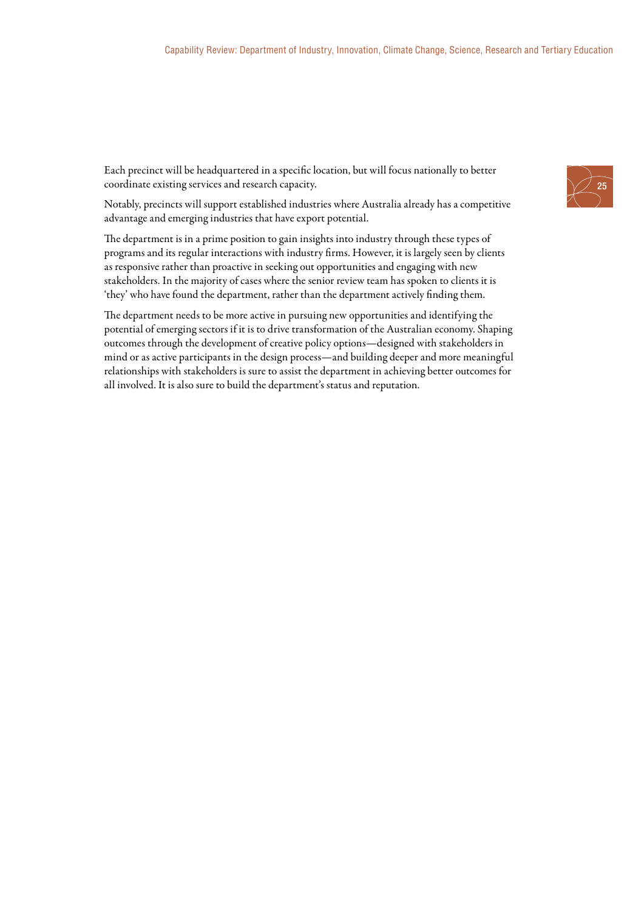Each precinct will be headquartered in a specific location, but will focus nationally to better coordinate existing services and research capacity.

Notably, precincts will support established industries where Australia already has a competitive advantage and emerging industries that have export potential.

The department is in a prime position to gain insights into industry through these types of programs and its regular interactions with industry firms. However, it is largely seen by clients as responsive rather than proactive in seeking out opportunities and engaging with new stakeholders. In the majority of cases where the senior review team has spoken to clients it is 'they' who have found the department, rather than the department actively finding them.

The department needs to be more active in pursuing new opportunities and identifying the potential of emerging sectors if it is to drive transformation of the Australian economy. Shaping outcomes through the development of creative policy options—designed with stakeholders in mind or as active participants in the design process—and building deeper and more meaningful relationships with stakeholders is sure to assist the department in achieving better outcomes for all involved. It is also sure to build the department's status and reputation.

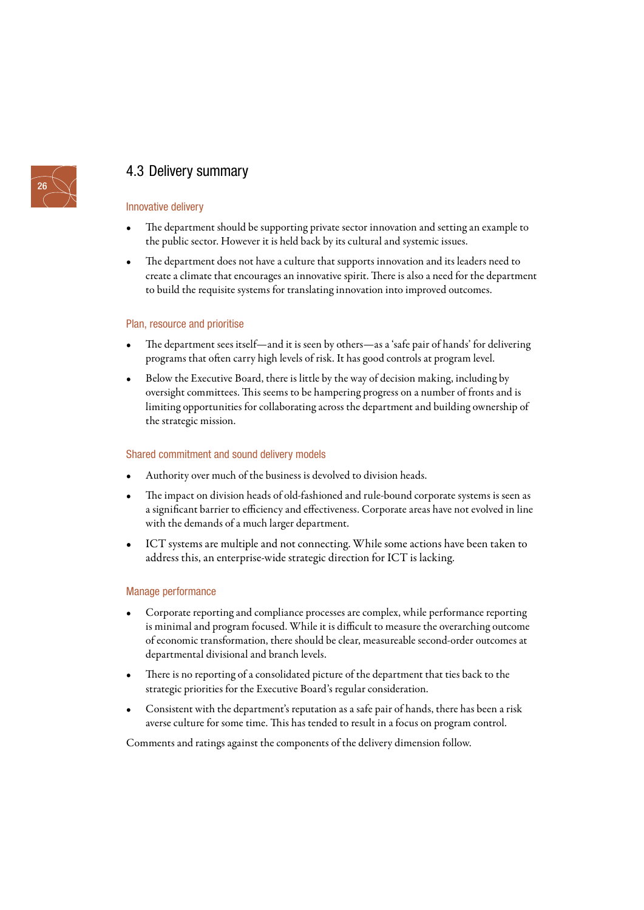

### 4.3 Delivery summary

#### Innovative delivery

- The department should be supporting private sector innovation and setting an example to the public sector. However it is held back by its cultural and systemic issues.
- The department does not have a culture that supports innovation and its leaders need to create a climate that encourages an innovative spirit. There is also a need for the department to build the requisite systems for translating innovation into improved outcomes.

#### Plan, resource and prioritise

- The department sees itself—and it is seen by others—as a 'safe pair of hands' for delivering programs that often carry high levels of risk. It has good controls at program level.
- Below the Executive Board, there is little by the way of decision making, including by oversight committees. This seems to be hampering progress on a number of fronts and is limiting opportunities for collaborating across the department and building ownership of the strategic mission.

#### Shared commitment and sound delivery models

- Authority over much of the business is devolved to division heads.
- The impact on division heads of old-fashioned and rule-bound corporate systems is seen as a significant barrier to efficiency and effectiveness. Corporate areas have not evolved in line with the demands of a much larger department.
- ICT systems are multiple and not connecting. While some actions have been taken to address this, an enterprise-wide strategic direction for ICT is lacking.

#### Manage performance

- Corporate reporting and compliance processes are complex, while performance reporting is minimal and program focused. While it is difficult to measure the overarching outcome of economic transformation, there should be clear, measureable second-order outcomes at departmental divisional and branch levels.
- There is no reporting of a consolidated picture of the department that ties back to the strategic priorities for the Executive Board's regular consideration.
- Consistent with the department's reputation as a safe pair of hands, there has been a risk averse culture for some time. This has tended to result in a focus on program control.

Comments and ratings against the components of the delivery dimension follow.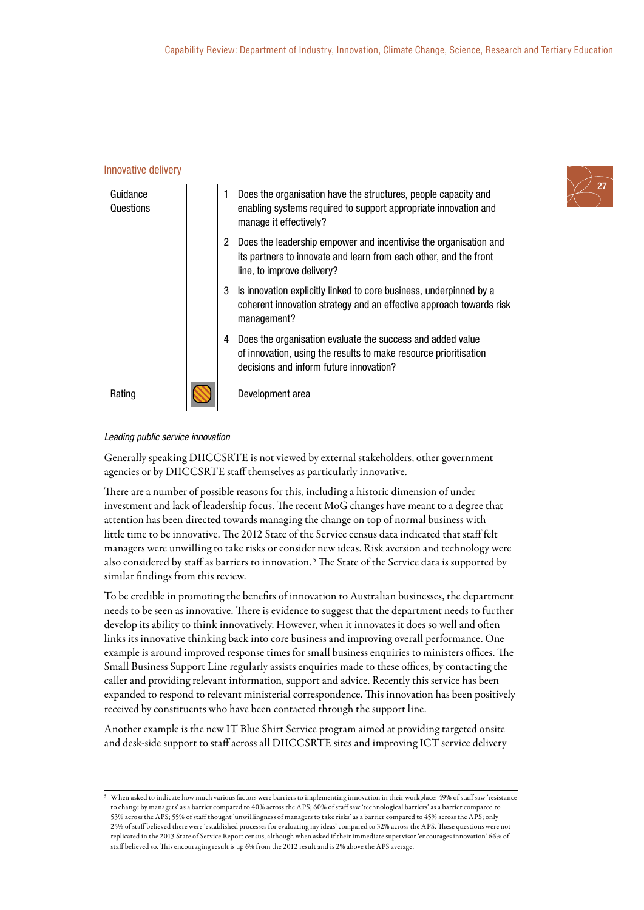#### Innovative delivery

| Guidance<br>Questions |   | Does the organisation have the structures, people capacity and<br>enabling systems required to support appropriate innovation and<br>manage it effectively?               |
|-----------------------|---|---------------------------------------------------------------------------------------------------------------------------------------------------------------------------|
|                       | 2 | Does the leadership empower and incentivise the organisation and<br>its partners to innovate and learn from each other, and the front<br>line, to improve delivery?       |
|                       | 3 | Is innovation explicitly linked to core business, underpinned by a<br>coherent innovation strategy and an effective approach towards risk<br>management?                  |
|                       | 4 | Does the organisation evaluate the success and added value<br>of innovation, using the results to make resource prioritisation<br>decisions and inform future innovation? |
| Rating                |   | Development area                                                                                                                                                          |

#### Leading public service innovation

Generally speaking DIICCSRTE is not viewed by external stakeholders, other government agencies or by DIICCSRTE staff themselves as particularly innovative.

There are a number of possible reasons for this, including a historic dimension of under investment and lack of leadership focus. The recent MoG changes have meant to a degree that attention has been directed towards managing the change on top of normal business with little time to be innovative. The 2012 State of the Service census data indicated that staff felt managers were unwilling to take risks or consider new ideas. Risk aversion and technology were also considered by staff as barriers to innovation.<sup>5</sup> The State of the Service data is supported by similar findings from this review.

To be credible in promoting the benefits of innovation to Australian businesses, the department needs to be seen as innovative. There is evidence to suggest that the department needs to further develop its ability to think innovatively. However, when it innovates it does so well and often links its innovative thinking back into core business and improving overall performance. One example is around improved response times for small business enquiries to ministers offices. The Small Business Support Line regularly assists enquiries made to these offices, by contacting the caller and providing relevant information, support and advice. Recently this service has been expanded to respond to relevant ministerial correspondence. This innovation has been positively received by constituents who have been contacted through the support line.

Another example is the new IT Blue Shirt Service program aimed at providing targeted onsite and desk-side support to staff across all DIICCSRTE sites and improving ICT service delivery



<sup>5</sup> When asked to indicate how much various factors were barriers to implementing innovation in their workplace: 49% of staff saw 'resistance to change by managers' as a barrier compared to 40% across the APS; 60% of staff saw 'technological barriers' as a barrier compared to 53% across the APS; 55% of staff thought 'unwillingness of managers to take risks' as a barrier compared to 45% across the APS; only 25% of staff believed there were 'established processes for evaluating my ideas' compared to 32% across the APS. These questions were not replicated in the 2013 State of Service Report census, although when asked if their immediate supervisor 'encourages innovation' 66% of staff believed so. This encouraging result is up 6% from the 2012 result and is 2% above the APS average.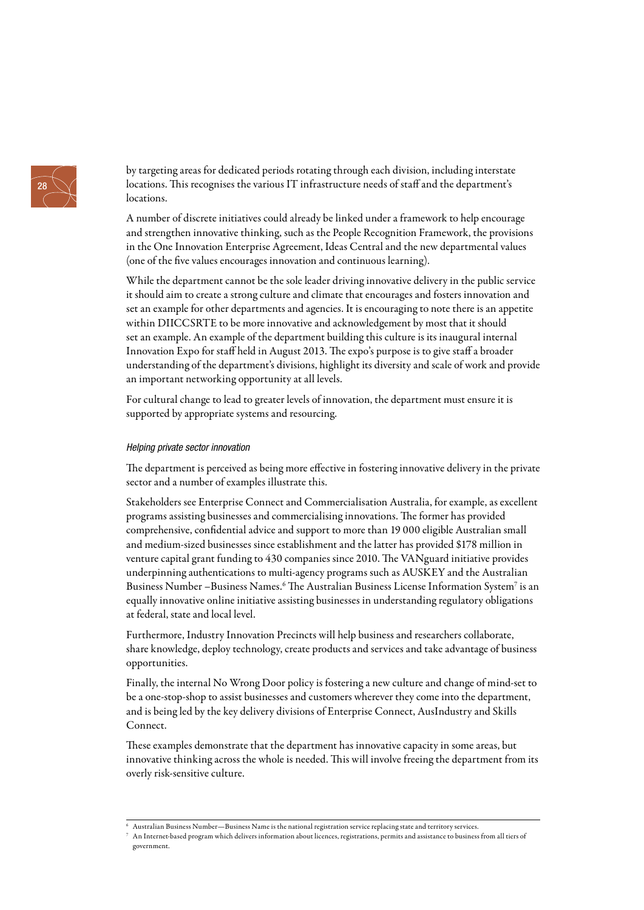

by targeting areas for dedicated periods rotating through each division, including interstate locations. This recognises the various IT infrastructure needs of staff and the department's locations.

A number of discrete initiatives could already be linked under a framework to help encourage and strengthen innovative thinking, such as the People Recognition Framework, the provisions in the One Innovation Enterprise Agreement, Ideas Central and the new departmental values (one of the five values encourages innovation and continuous learning).

While the department cannot be the sole leader driving innovative delivery in the public service it should aim to create a strong culture and climate that encourages and fosters innovation and set an example for other departments and agencies. It is encouraging to note there is an appetite within DIICCSRTE to be more innovative and acknowledgement by most that it should set an example. An example of the department building this culture is its inaugural internal Innovation Expo for staff held in August 2013. The expo's purpose is to give staff a broader understanding of the department's divisions, highlight its diversity and scale of work and provide an important networking opportunity at all levels.

For cultural change to lead to greater levels of innovation, the department must ensure it is supported by appropriate systems and resourcing.

#### Helping private sector innovation

The department is perceived as being more effective in fostering innovative delivery in the private sector and a number of examples illustrate this.

Stakeholders see Enterprise Connect and Commercialisation Australia, for example, as excellent programs assisting businesses and commercialising innovations. The former has provided comprehensive, confidential advice and support to more than 19 000 eligible Australian small and medium-sized businesses since establishment and the latter has provided \$178 million in venture capital grant funding to 430 companies since 2010. The VANguard initiative provides underpinning authentications to multi-agency programs such as AUSKEY and the Australian Business Number –Business Names.<sup>6</sup> The Australian Business License Information System<sup>7</sup> is an equally innovative online initiative assisting businesses in understanding regulatory obligations at federal, state and local level.

Furthermore, Industry Innovation Precincts will help business and researchers collaborate, share knowledge, deploy technology, create products and services and take advantage of business opportunities.

Finally, the internal No Wrong Door policy is fostering a new culture and change of mind-set to be a one-stop-shop to assist businesses and customers wherever they come into the department, and is being led by the key delivery divisions of Enterprise Connect, AusIndustry and Skills Connect.

These examples demonstrate that the department has innovative capacity in some areas, but innovative thinking across the whole is needed. This will involve freeing the department from its overly risk-sensitive culture.

<sup>6</sup> Australian Business Number—Business Name is the national registration service replacing state and territory services.

<sup>7</sup> An Internet-based program which delivers information about licences, registrations, permits and assistance to business from all tiers of government.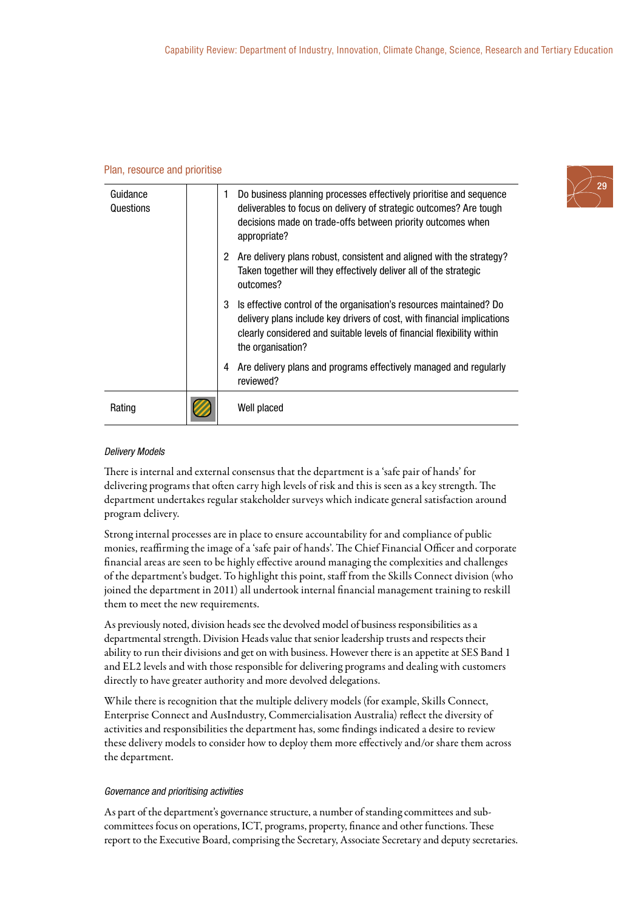#### Plan, resource and prioritise

| Guidance<br>Questions | 1 | Do business planning processes effectively prioritise and sequence<br>deliverables to focus on delivery of strategic outcomes? Are tough<br>decisions made on trade-offs between priority outcomes when<br>appropriate?                       |
|-----------------------|---|-----------------------------------------------------------------------------------------------------------------------------------------------------------------------------------------------------------------------------------------------|
|                       |   | 2 Are delivery plans robust, consistent and aligned with the strategy?<br>Taken together will they effectively deliver all of the strategic<br>outcomes?                                                                                      |
|                       | 3 | Is effective control of the organisation's resources maintained? Do<br>delivery plans include key drivers of cost, with financial implications<br>clearly considered and suitable levels of financial flexibility within<br>the organisation? |
|                       | 4 | Are delivery plans and programs effectively managed and regularly<br>reviewed?                                                                                                                                                                |
| Rating                |   | Well placed                                                                                                                                                                                                                                   |

#### Delivery Models

There is internal and external consensus that the department is a 'safe pair of hands' for delivering programs that often carry high levels of risk and this is seen as a key strength. The department undertakes regular stakeholder surveys which indicate general satisfaction around program delivery.

Strong internal processes are in place to ensure accountability for and compliance of public monies, reaffirming the image of a 'safe pair of hands'. The Chief Financial Officer and corporate financial areas are seen to be highly effective around managing the complexities and challenges of the department's budget. To highlight this point, staff from the Skills Connect division (who joined the department in 2011) all undertook internal financial management training to reskill them to meet the new requirements.

As previously noted, division heads see the devolved model of business responsibilities as a departmental strength. Division Heads value that senior leadership trusts and respects their ability to run their divisions and get on with business. However there is an appetite at SES Band 1 and EL2 levels and with those responsible for delivering programs and dealing with customers directly to have greater authority and more devolved delegations.

While there is recognition that the multiple delivery models (for example, Skills Connect, Enterprise Connect and AusIndustry, Commercialisation Australia) reflect the diversity of activities and responsibilities the department has, some findings indicated a desire to review these delivery models to consider how to deploy them more effectively and/or share them across the department.

#### Governance and prioritising activities

As part of the department's governance structure, a number of standing committees and subcommittees focus on operations, ICT, programs, property, finance and other functions. These report to the Executive Board, comprising the Secretary, Associate Secretary and deputy secretaries.

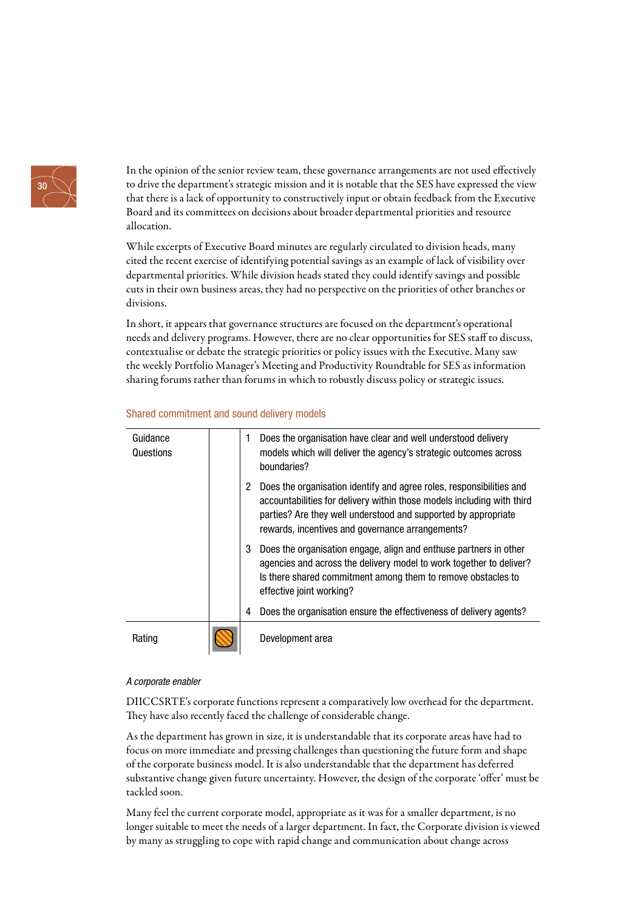

In the opinion of the senior review team, these governance arrangements are not used effectively to drive the department's strategic mission and it is notable that the SES have expressed the view that there is a lack of opportunity to constructively input or obtain feedback from the Executive Board and its committees on decisions about broader departmental priorities and resource allocation.

While excerpts of Executive Board minutes are regularly circulated to division heads, many cited the recent exercise of identifying potential savings as an example of lack of visibility over departmental priorities. While division heads stated they could identify savings and possible cuts in their own business areas, they had no perspective on the priorities of other branches or divisions.

In short, it appears that governance structures are focused on the department's operational needs and delivery programs. However, there are no clear opportunities for SES staff to discuss, contextualise or debate the strategic priorities or policy issues with the Executive. Many saw the weekly Portfolio Manager's Meeting and Productivity Roundtable for SES as information sharing forums rather than forums in which to robustly discuss policy or strategic issues.

| Guidance<br>Questions | 1 | Does the organisation have clear and well understood delivery<br>models which will deliver the agency's strategic outcomes across<br>boundaries?                                                                                                                     |
|-----------------------|---|----------------------------------------------------------------------------------------------------------------------------------------------------------------------------------------------------------------------------------------------------------------------|
|                       | 2 | Does the organisation identify and agree roles, responsibilities and<br>accountabilities for delivery within those models including with third<br>parties? Are they well understood and supported by appropriate<br>rewards, incentives and governance arrangements? |
|                       | 3 | Does the organisation engage, align and enthuse partners in other<br>agencies and across the delivery model to work together to deliver?<br>Is there shared commitment among them to remove obstacles to<br>effective joint working?                                 |
|                       | 4 | Does the organisation ensure the effectiveness of delivery agents?                                                                                                                                                                                                   |
| Rating                |   | Development area                                                                                                                                                                                                                                                     |

#### Shared commitment and sound delivery models

#### A corporate enabler

DIICCSRTE's corporate functions represent a comparatively low overhead for the department. They have also recently faced the challenge of considerable change.

As the department has grown in size, it is understandable that its corporate areas have had to focus on more immediate and pressing challenges than questioning the future form and shape of the corporate business model. It is also understandable that the department has deferred substantive change given future uncertainty. However, the design of the corporate 'offer' must be tackled soon.

Many feel the current corporate model, appropriate as it was for a smaller department, is no longer suitable to meet the needs of a larger department. In fact, the Corporate division is viewed by many as struggling to cope with rapid change and communication about change across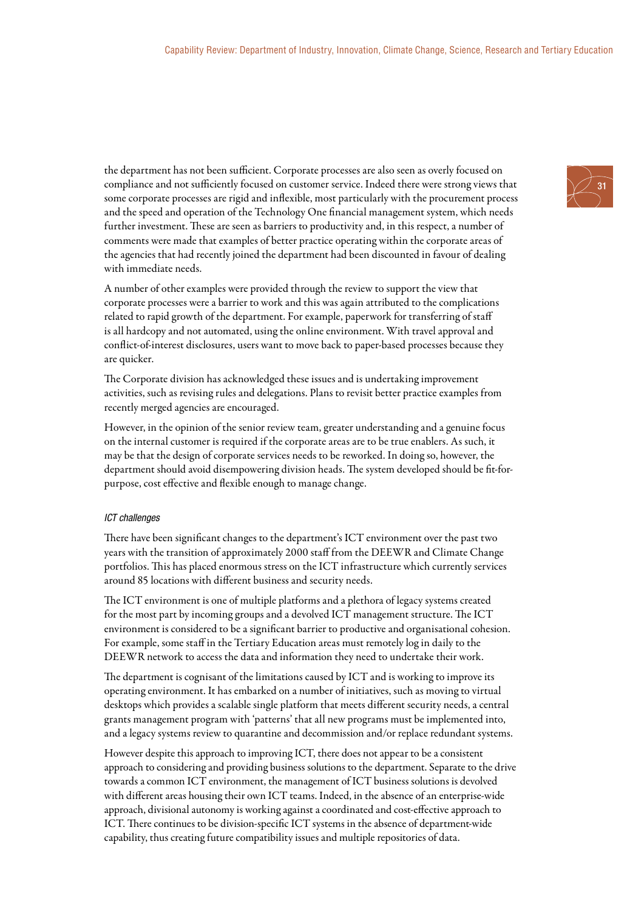the department has not been sufficient. Corporate processes are also seen as overly focused on compliance and not sufficiently focused on customer service. Indeed there were strong views that some corporate processes are rigid and inflexible, most particularly with the procurement process and the speed and operation of the Technology One financial management system, which needs further investment. These are seen as barriers to productivity and, in this respect, a number of comments were made that examples of better practice operating within the corporate areas of the agencies that had recently joined the department had been discounted in favour of dealing with immediate needs.

A number of other examples were provided through the review to support the view that corporate processes were a barrier to work and this was again attributed to the complications related to rapid growth of the department. For example, paperwork for transferring of staff is all hardcopy and not automated, using the online environment. With travel approval and conflict-of-interest disclosures, users want to move back to paper-based processes because they are quicker.

The Corporate division has acknowledged these issues and is undertaking improvement activities, such as revising rules and delegations. Plans to revisit better practice examples from recently merged agencies are encouraged.

However, in the opinion of the senior review team, greater understanding and a genuine focus on the internal customer is required if the corporate areas are to be true enablers. As such, it may be that the design of corporate services needs to be reworked. In doing so, however, the department should avoid disempowering division heads. The system developed should be fit-forpurpose, cost effective and flexible enough to manage change.

#### ICT challenges

There have been significant changes to the department's ICT environment over the past two years with the transition of approximately 2000 staff from the DEEWR and Climate Change portfolios. This has placed enormous stress on the ICT infrastructure which currently services around 85 locations with different business and security needs.

The ICT environment is one of multiple platforms and a plethora of legacy systems created for the most part by incoming groups and a devolved ICT management structure. The ICT environment is considered to be a significant barrier to productive and organisational cohesion. For example, some staff in the Tertiary Education areas must remotely log in daily to the DEEWR network to access the data and information they need to undertake their work.

The department is cognisant of the limitations caused by ICT and is working to improve its operating environment. It has embarked on a number of initiatives, such as moving to virtual desktops which provides a scalable single platform that meets different security needs, a central grants management program with 'patterns' that all new programs must be implemented into, and a legacy systems review to quarantine and decommission and/or replace redundant systems.

However despite this approach to improving ICT, there does not appear to be a consistent approach to considering and providing business solutions to the department. Separate to the drive towards a common ICT environment, the management of ICT business solutions is devolved with different areas housing their own ICT teams. Indeed, in the absence of an enterprise-wide approach, divisional autonomy is working against a coordinated and cost-effective approach to ICT. There continues to be division-specific ICT systems in the absence of department-wide capability, thus creating future compatibility issues and multiple repositories of data.

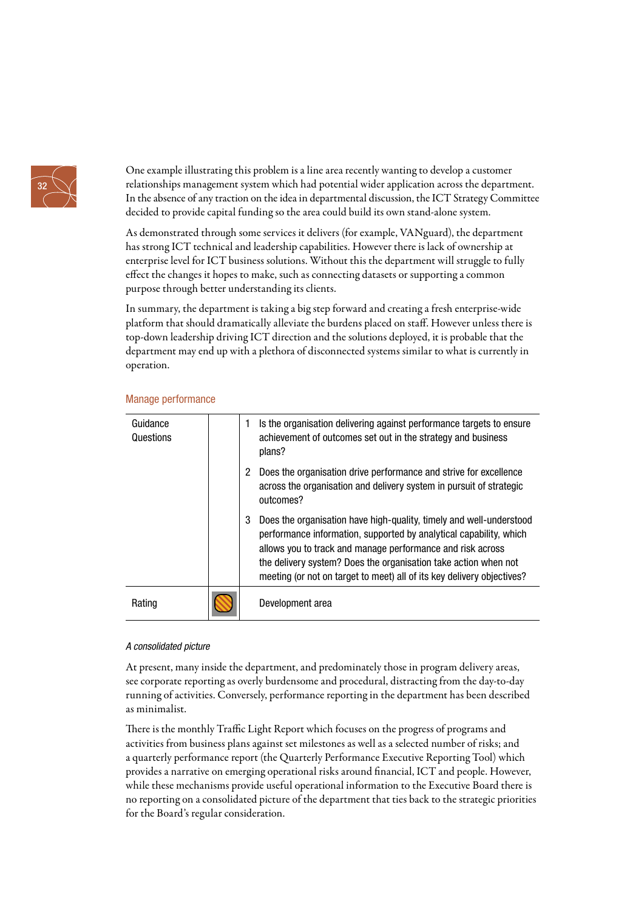

One example illustrating this problem is a line area recently wanting to develop a customer relationships management system which had potential wider application across the department. In the absence of any traction on the idea in departmental discussion, the ICT Strategy Committee decided to provide capital funding so the area could build its own stand-alone system.

As demonstrated through some services it delivers (for example, VANguard), the department has strong ICT technical and leadership capabilities. However there is lack of ownership at enterprise level for ICT business solutions. Without this the department will struggle to fully effect the changes it hopes to make, such as connecting datasets or supporting a common purpose through better understanding its clients.

In summary, the department is taking a big step forward and creating a fresh enterprise-wide platform that should dramatically alleviate the burdens placed on staff. However unless there is top-down leadership driving ICT direction and the solutions deployed, it is probable that the department may end up with a plethora of disconnected systems similar to what is currently in operation.

| Guidance<br>Questions |   | Is the organisation delivering against performance targets to ensure<br>achievement of outcomes set out in the strategy and business<br>plans?                                                                                                                                                                                                       |
|-----------------------|---|------------------------------------------------------------------------------------------------------------------------------------------------------------------------------------------------------------------------------------------------------------------------------------------------------------------------------------------------------|
|                       | 2 | Does the organisation drive performance and strive for excellence<br>across the organisation and delivery system in pursuit of strategic<br>outcomes?                                                                                                                                                                                                |
|                       | 3 | Does the organisation have high-quality, timely and well-understood<br>performance information, supported by analytical capability, which<br>allows you to track and manage performance and risk across<br>the delivery system? Does the organisation take action when not<br>meeting (or not on target to meet) all of its key delivery objectives? |
| Rating                |   | Development area                                                                                                                                                                                                                                                                                                                                     |

#### Manage performance

#### A consolidated picture

At present, many inside the department, and predominately those in program delivery areas, see corporate reporting as overly burdensome and procedural, distracting from the day-to-day running of activities. Conversely, performance reporting in the department has been described as minimalist.

There is the monthly Traffic Light Report which focuses on the progress of programs and activities from business plans against set milestones as well as a selected number of risks; and a quarterly performance report (the Quarterly Performance Executive Reporting Tool) which provides a narrative on emerging operational risks around financial, ICT and people. However, while these mechanisms provide useful operational information to the Executive Board there is no reporting on a consolidated picture of the department that ties back to the strategic priorities for the Board's regular consideration.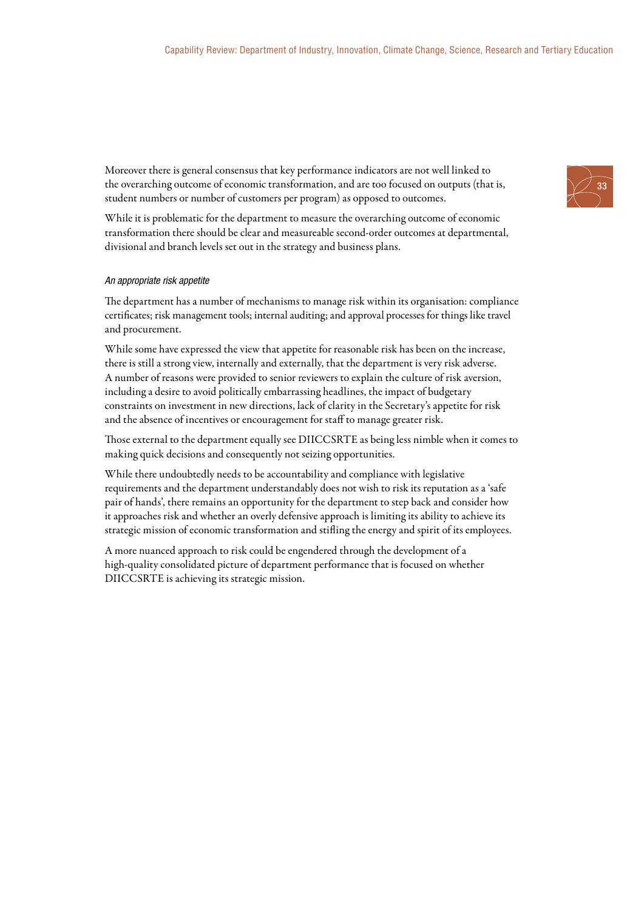Moreover there is general consensus that key performance indicators are not well linked to the overarching outcome of economic transformation, and are too focused on outputs (that is, student numbers or number of customers per program) as opposed to outcomes.

While it is problematic for the department to measure the overarching outcome of economic transformation there should be clear and measureable second-order outcomes at departmental, divisional and branch levels set out in the strategy and business plans.

#### An appropriate risk appetite

The department has a number of mechanisms to manage risk within its organisation: compliance certificates; risk management tools; internal auditing; and approval processes for things like travel and procurement.

While some have expressed the view that appetite for reasonable risk has been on the increase, there is still a strong view, internally and externally, that the department is very risk adverse. A number of reasons were provided to senior reviewers to explain the culture of risk aversion, including a desire to avoid politically embarrassing headlines, the impact of budgetary constraints on investment in new directions, lack of clarity in the Secretary's appetite for risk and the absence of incentives or encouragement for staff to manage greater risk.

Those external to the department equally see DIICCSRTE as being less nimble when it comes to making quick decisions and consequently not seizing opportunities.

While there undoubtedly needs to be accountability and compliance with legislative requirements and the department understandably does not wish to risk its reputation as a 'safe pair of hands', there remains an opportunity for the department to step back and consider how it approaches risk and whether an overly defensive approach is limiting its ability to achieve its strategic mission of economic transformation and stifling the energy and spirit of its employees.

A more nuanced approach to risk could be engendered through the development of a high-quality consolidated picture of department performance that is focused on whether DIICCSRTE is achieving its strategic mission.

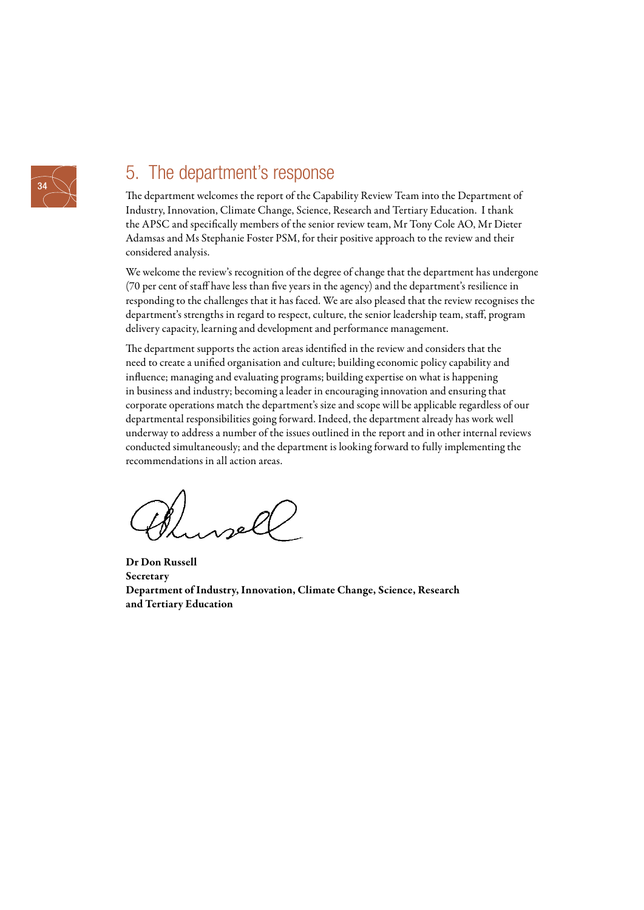

# 5. The department's response

The department welcomes the report of the Capability Review Team into the Department of Industry, Innovation, Climate Change, Science, Research and Tertiary Education. I thank the APSC and specifically members of the senior review team, Mr Tony Cole AO, Mr Dieter Adamsas and Ms Stephanie Foster PSM, for their positive approach to the review and their considered analysis.

We welcome the review's recognition of the degree of change that the department has undergone (70 per cent of staff have less than five years in the agency) and the department's resilience in responding to the challenges that it has faced. We are also pleased that the review recognises the department's strengths in regard to respect, culture, the senior leadership team, staff, program delivery capacity, learning and development and performance management.

The department supports the action areas identified in the review and considers that the need to create a unified organisation and culture; building economic policy capability and influence; managing and evaluating programs; building expertise on what is happening in business and industry; becoming a leader in encouraging innovation and ensuring that corporate operations match the department's size and scope will be applicable regardless of our departmental responsibilities going forward. Indeed, the department already has work well underway to address a number of the issues outlined in the report and in other internal reviews conducted simultaneously; and the department is looking forward to fully implementing the recommendations in all action areas.

Dr Don Russell Secretary Department of Industry, Innovation, Climate Change, Science, Research and Tertiary Education